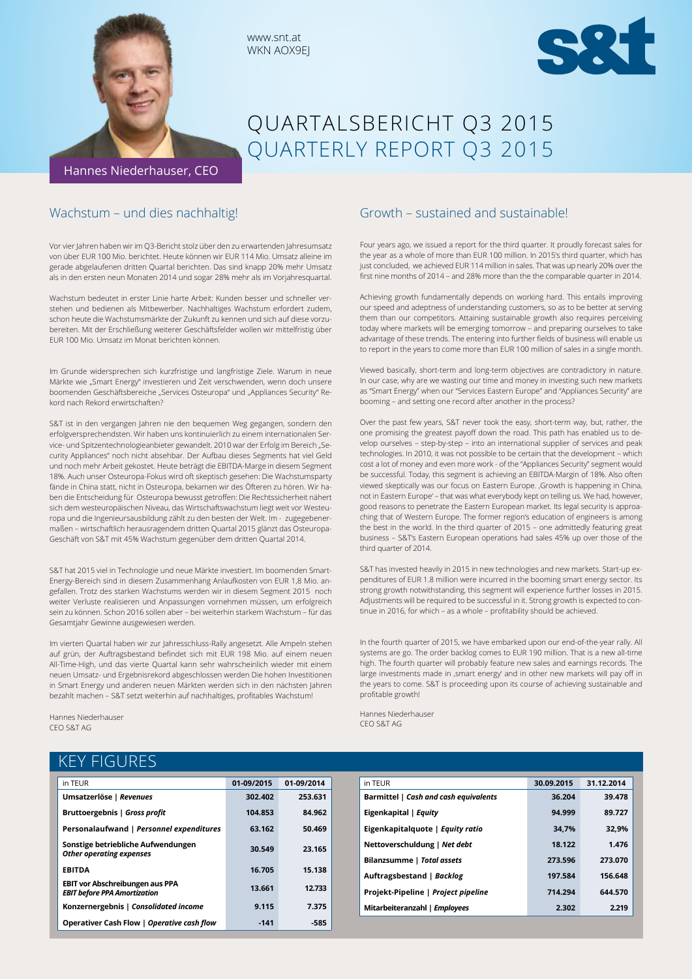



# QUARTALSBERICHT Q3 2015 QUARTERLY REPORT Q3 2015

## Wachstum – und dies nachhaltig!

Vor vier Jahren haben wir im Q3-Bericht stolz über den zu erwartenden Jahresumsatz von über EUR 100 Mio. berichtet. Heute können wir EUR 114 Mio. Umsatz alleine im gerade abgelaufenen dritten Quartal berichten. Das sind knapp 20% mehr Umsatz als in den ersten neun Monaten 2014 und sogar 28% mehr als im Vorjahresquartal.

www.snt.at WKN AOX9EJ

Wachstum bedeutet in erster Linie harte Arbeit: Kunden besser und schneller verstehen und bedienen als Mitbewerber. Nachhaltiges Wachstum erfordert zudem, schon heute die Wachstumsmärkte der Zukunft zu kennen und sich auf diese vorzubereiten. Mit der Erschließung weiterer Geschäftsfelder wollen wir mittelfristig über EUR 100 Mio. Umsatz im Monat berichten können.

Im Grunde widersprechen sich kurzfristige und langfristige Ziele. Warum in neue Märkte wie "Smart Energy" investieren und Zeit verschwenden, wenn doch unsere boomenden Geschäftsbereiche "Services Osteuropa" und "Appliances Security" Rekord nach Rekord erwirtschaften?

S&T ist in den vergangen Jahren nie den bequemen Weg gegangen, sondern den erfolgversprechendsten. Wir haben uns kontinuierlich zu einem internationalen Service- und Spitzentechnologieanbieter gewandelt. 2010 war der Erfolg im Bereich "Security Appliances" noch nicht absehbar. Der Aufbau dieses Segments hat viel Geld und noch mehr Arbeit gekostet. Heute beträgt die EBITDA-Marge in diesem Segment 18%. Auch unser Osteuropa-Fokus wird oft skeptisch gesehen: Die Wachstumsparty fände in China statt, nicht in Osteuropa, bekamen wir des Öfteren zu hören. Wir haben die Entscheidung für Osteuropa bewusst getroffen: Die Rechtssicherheit nähert sich dem westeuropäischen Niveau, das Wirtschaftswachstum liegt weit vor Westeuropa und die Ingenieursausbildung zählt zu den besten der Welt. Im - zugegebenermaßen – wirtschaftlich herausragendem dritten Quartal 2015 glänzt das Osteuropa-Geschäft von S&T mit 45% Wachstum gegenüber dem dritten Quartal 2014.

S&T hat 2015 viel in Technologie und neue Märkte investiert. Im boomenden Smart-Energy-Bereich sind in diesem Zusammenhang Anlaufkosten von EUR 1,8 Mio. angefallen. Trotz des starken Wachstums werden wir in diesem Segment 2015 noch weiter Verluste realisieren und Anpassungen vornehmen müssen, um erfolgreich sein zu können. Schon 2016 sollen aber – bei weiterhin starkem Wachstum – für das Gesamtjahr Gewinne ausgewiesen werden.

Im vierten Quartal haben wir zur Jahresschluss-Rally angesetzt. Alle Ampeln stehen auf grün, der Auftragsbestand befindet sich mit EUR 198 Mio. auf einem neuen All-Time-High, und das vierte Quartal kann sehr wahrscheinlich wieder mit einem neuen Umsatz- und Ergebnisrekord abgeschlossen werden Die hohen Investitionen in Smart Energy und anderen neuen Märkten werden sich in den nächsten Jahren bezahlt machen – S&T setzt weiterhin auf nachhaltiges, profitables Wachstum!

Hannes Niederhauser CEO S&T AG

## KEY FIGURES

| in TEUR                                                                       | 01-09/2015 | 01-09/2014 |
|-------------------------------------------------------------------------------|------------|------------|
| Umsatzerlöse   Revenues                                                       | 302.402    | 253.631    |
| Bruttoergebnis   Gross profit                                                 | 104.853    | 84.962     |
| Personalaufwand   Personnel expenditures                                      | 63.162     | 50.469     |
| Sonstige betriebliche Aufwendungen<br><b>Other operating expenses</b>         | 30.549     | 23.165     |
| <b>EBITDA</b>                                                                 | 16.705     | 15.138     |
| <b>EBIT vor Abschreibungen aus PPA</b><br><b>EBIT before PPA Amortization</b> | 13.661     | 12.733     |
| Konzernergebnis   Consolidated income                                         | 9.115      | 7.375      |
| Operativer Cash Flow   Operative cash flow                                    | $-141$     | -585       |

### Growth – sustained and sustainable!

Four years ago, we issued a report for the third quarter. It proudly forecast sales for the year as a whole of more than EUR 100 million. In 2015's third quarter, which has just concluded, we achieved EUR 114 million in sales. That was up nearly 20% over the first nine months of 2014 – and 28% more than the the comparable quarter in 2014.

Achieving growth fundamentally depends on working hard. This entails improving our speed and adeptness of understanding customers, so as to be better at serving them than our competitors. Attaining sustainable growth also requires perceiving today where markets will be emerging tomorrow – and preparing ourselves to take advantage of these trends. The entering into further fields of business will enable us to report in the years to come more than EUR 100 million of sales in a single month.

Viewed basically, short-term and long-term objectives are contradictory in nature. In our case, why are we wasting our time and money in investing such new markets as "Smart Energy" when our "Services Eastern Europe" and "Appliances Security" are booming – and setting one record after another in the process?

Over the past few years, S&T never took the easy, short-term way, but, rather, the one promising the greatest payoff down the road. This path has enabled us to develop ourselves – step-by-step – into an international supplier of services and peak technologies. In 2010, it was not possible to be certain that the development – which cost a lot of money and even more work - of the "Appliances Security" segment would be successful. Today, this segment is achieving an EBITDA-Margin of 18%. Also often viewed skeptically was our focus on Eastern Europe. , Growth is happening in China, not in Eastern Europe' – that was what everybody kept on telling us. We had, however, good reasons to penetrate the Eastern European market. Its legal security is approaching that of Western Europe. The former region's education of engineers is among the best in the world. In the third quarter of 2015 – one admittedly featuring great business – S&T's Eastern European operations had sales 45% up over those of the third quarter of 2014.

S&T has invested heavily in 2015 in new technologies and new markets. Start-up expenditures of EUR 1.8 million were incurred in the booming smart energy sector. Its strong growth notwithstanding, this segment will experience further losses in 2015. Adjustments will be required to be successful in it. Strong growth is expected to continue in 2016, for which – as a whole – profitability should be achieved.

In the fourth quarter of 2015, we have embarked upon our end-of-the-year rally. All systems are go. The order backlog comes to EUR 190 million. That is a new all-time high. The fourth quarter will probably feature new sales and earnings records. The large investments made in ,smart energy' and in other new markets will pay off in the years to come. S&T is proceeding upon its course of achieving sustainable and profitable growth!

Hannes Niederhauser CEO S&T AG

| in TEUR                               | 30.09.2015 | 31.12.2014 |
|---------------------------------------|------------|------------|
| Barmittel   Cash and cash equivalents | 36.204     | 39.478     |
| Eigenkapital   Equity                 | 94.999     | 89.727     |
| Eigenkapitalquote   Equity ratio      | 34.7%      | 32.9%      |
| Nettoverschuldung   Net debt          | 18.122     | 1.476      |
| Bilanzsumme   Total assets            | 273.596    | 273.070    |
| Auftragsbestand   Backlog             | 197.584    | 156.648    |
| Projekt-Pipeline   Project pipeline   | 714.294    | 644.570    |
| Mitarbeiteranzahl   Employees         | 2.302      | 2.219      |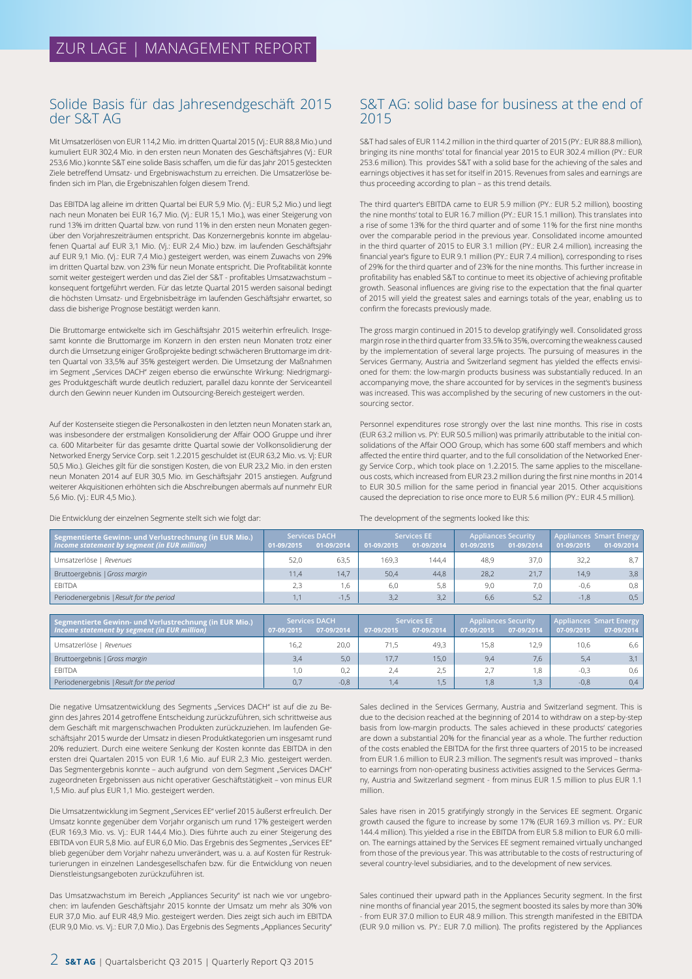### Solide Basis für das Jahresendgeschäft 2015 der S&T AG

Mit Umsatzerlösen von EUR 114,2 Mio. im dritten Quartal 2015 (Vj.: EUR 88,8 Mio.) und kumuliert EUR 302,4 Mio. in den ersten neun Monaten des Geschäftsjahres (Vj.: EUR 253,6 Mio.) konnte S&T eine solide Basis schaffen, um die für das Jahr 2015 gesteckten Ziele betreffend Umsatz- und Ergebniswachstum zu erreichen. Die Umsatzerlöse befinden sich im Plan, die Ergebniszahlen folgen diesem Trend.

Das EBITDA lag alleine im dritten Quartal bei EUR 5,9 Mio. (Vj.: EUR 5,2 Mio.) und liegt nach neun Monaten bei EUR 16,7 Mio. (Vj.: EUR 15,1 Mio.), was einer Steigerung von rund 13% im dritten Quartal bzw. von rund 11% in den ersten neun Monaten gegenüber den Vorjahreszeiträumen entspricht. Das Konzernergebnis konnte im abgelaufenen Quartal auf EUR 3,1 Mio. (Vj.: EUR 2,4 Mio.) bzw. im laufenden Geschäftsjahr auf EUR 9,1 Mio. (Vj.: EUR 7,4 Mio.) gesteigert werden, was einem Zuwachs von 29% im dritten Quartal bzw. von 23% für neun Monate entspricht. Die Profitabilität konnte somit weiter gesteigert werden und das Ziel der S&T - profitables Umsatzwachstum – konsequent fortgeführt werden. Für das letzte Quartal 2015 werden saisonal bedingt die höchsten Umsatz- und Ergebnisbeiträge im laufenden Geschäftsjahr erwartet, so dass die bisherige Prognose bestätigt werden kann.

Die Bruttomarge entwickelte sich im Geschäftsjahr 2015 weiterhin erfreulich. Insgesamt konnte die Bruttomarge im Konzern in den ersten neun Monaten trotz einer durch die Umsetzung einiger Großprojekte bedingt schwächeren Bruttomarge im dritten Quartal von 33,5% auf 35% gesteigert werden. Die Umsetzung der Maßnahmen im Segment "Services DACH" zeigen ebenso die erwünschte Wirkung: Niedrigmargiges Produktgeschäft wurde deutlich reduziert, parallel dazu konnte der Serviceanteil durch den Gewinn neuer Kunden im Outsourcing-Bereich gesteigert werden.

Auf der Kostenseite stiegen die Personalkosten in den letzten neun Monaten stark an, was insbesondere der erstmaligen Konsolidierung der Affair OOO Gruppe und ihrer ca. 600 Mitarbeiter für das gesamte dritte Quartal sowie der Vollkonsolidierung der Networked Energy Service Corp. seit 1.2.2015 geschuldet ist (EUR 63,2 Mio. vs. Vj: EUR 50,5 Mio.). Gleiches gilt für die sonstigen Kosten, die von EUR 23,2 Mio. in den ersten neun Monaten 2014 auf EUR 30,5 Mio. im Geschäftsjahr 2015 anstiegen. Aufgrund weiterer Akquisitionen erhöhten sich die Abschreibungen abermals auf nunmehr EUR 5,6 Mio. (Vj.: EUR 4,5 Mio.).

Die Entwicklung der einzelnen Segmente stellt sich wie folgt dar:

### S&T AG: solid base for business at the end of 2015

S&T had sales of EUR 114.2 million in the third quarter of 2015 (PY.: EUR 88.8 million), bringing its nine months' total for financial year 2015 to EUR 302.4 million (PY.: EUR 253.6 million). This provides S&T with a solid base for the achieving of the sales and earnings objectives it has set for itself in 2015. Revenues from sales and earnings are thus proceeding according to plan – as this trend details.

The third quarter's EBITDA came to EUR 5.9 million (PY.: EUR 5.2 million), boosting the nine months' total to EUR 16.7 million (PY.: EUR 15.1 million). This translates into a rise of some 13% for the third quarter and of some 11% for the first nine months over the comparable period in the previous year. Consolidated income amounted in the third quarter of 2015 to EUR 3.1 million (PY.: EUR 2.4 million), increasing the financial year's figure to EUR 9.1 million (PY.: EUR 7.4 million), corresponding to rises of 29% for the third quarter and of 23% for the nine months. This further increase in profitability has enabled S&T to continue to meet its objective of achieving profitable growth. Seasonal influences are giving rise to the expectation that the final quarter of 2015 will yield the greatest sales and earnings totals of the year, enabling us to confirm the forecasts previously made.

The gross margin continued in 2015 to develop gratifyingly well. Consolidated gross margin rose in the third quarter from 33.5% to 35%, overcoming the weakness caused by the implementation of several large projects. The pursuing of measures in the Services Germany, Austria and Switzerland segment has yielded the effects envisioned for them: the low-margin products business was substantially reduced. In an accompanying move, the share accounted for by services in the segment's business was increased. This was accomplished by the securing of new customers in the outsourcing sector.

Personnel expenditures rose strongly over the last nine months. This rise in costs (EUR 63.2 million vs. PY: EUR 50.5 million) was primarily attributable to the initial consolidations of the Affair OOO Group, which has some 600 staff members and which affected the entire third quarter, and to the full consolidation of the Networked Energy Service Corp., which took place on 1.2.2015. The same applies to the miscellaneous costs, which increased from EUR 23.2 million during the first nine months in 2014 to EUR 30.5 million for the same period in financial year 2015. Other acquisitions caused the depreciation to rise once more to EUR 5.6 million (PY.: EUR 4.5 million).

The development of the segments looked like this:

| Segmentierte Gewinn- und Verlustrechnung (in EUR Mio.) | <b>Services DACH</b> |            | <b>Services EE</b> |            | <b>Appliances Security</b> |            | Appliances Smart Energy |                  |
|--------------------------------------------------------|----------------------|------------|--------------------|------------|----------------------------|------------|-------------------------|------------------|
| Income statement by segment (in EUR million)           | 01-09/2015           | 01-09/2014 | 01-09/2015         | 01-09/2014 | 01-09/2015                 | 01-09/2014 | 01-09/2015              | $01-09/2014$     |
| Umsatzerlöse   Revenues                                | 52.0                 | 63.5       | 169.3              | 144.4      | 48.9                       | 37.0       | 32,2                    | 8.7 <sup>1</sup> |
| Bruttoergebnis   Gross margin                          | 11.4                 | 14,7       | 50,4               | 44,8       | 28,2                       | 21.7       | 14,9                    | 3,8              |
| <b>FBITDA</b>                                          |                      | 1.6        | 6.0                | 5,8        | 9.0                        | 7,0        | $-0,6$                  | 0,8              |
| Periodenergebnis   Result for the period               |                      | $-1.5$     | 3.2                | 3,2        | 6.6                        | 5,2        | $-1.8$                  | 0,5              |

| Segmentierte Gewinn- und Verlustrechnung (in EUR Mio.) | <b>Services DACH</b> |            | <b>Services EE</b> |            | <b>Appliances Security</b> |            | <b>Appliances Smart Energy</b> |            |
|--------------------------------------------------------|----------------------|------------|--------------------|------------|----------------------------|------------|--------------------------------|------------|
| Income statement by segment (in EUR million)           | 07-09/2015           | 07-09/2014 | 07-09/2015         | 07-09/2014 | 07-09/2015                 | 07-09/2014 | 07-09/2015                     | 07-09/2014 |
| Umsatzerlöse   Revenues                                | 16.2                 | 20.0       |                    | 49.3       | 15.8                       | 12.9       | 10,6                           | 6,6        |
| Bruttoergebnis   Gross margin                          | 3.4                  | 5.0        | 17.7               | 15.0       | 9.4                        | 7.6        | 5,4                            | 3,1        |
| <b>EBITDA</b>                                          | 1.0                  | 0.2        | 2.4                | 2.5        |                            | 1,8        | $-0,3$                         | 0,6        |
| Periodenergebnis   Result for the period               | 0.7                  | $-0.8$     | 1.4                | 1,5        | 1.8                        | 1,3        | $-0,8$                         | 0.4        |

Die negative Umsatzentwicklung des Segments "Services DACH" ist auf die zu Beginn des Jahres 2014 getroffene Entscheidung zurückzuführen, sich schrittweise aus dem Geschäft mit margenschwachen Produkten zurückzuziehen. Im laufenden Geschäftsjahr 2015 wurde der Umsatz in diesen Produktkategorien um insgesamt rund 20% reduziert. Durch eine weitere Senkung der Kosten konnte das EBITDA in den ersten drei Quartalen 2015 von EUR 1,6 Mio. auf EUR 2,3 Mio. gesteigert werden. Das Segmentergebnis konnte - auch aufgrund von dem Segment "Services DACH" zugeordneten Ergebnissen aus nicht operativer Geschäftstätigkeit – von minus EUR 1,5 Mio. auf plus EUR 1,1 Mio. gesteigert werden.

Die Umsatzentwicklung im Segment "Services EE" verlief 2015 äußerst erfreulich. Der Umsatz konnte gegenüber dem Vorjahr organisch um rund 17% gesteigert werden (EUR 169,3 Mio. vs. Vj.: EUR 144,4 Mio.). Dies führte auch zu einer Steigerung des EBITDA von EUR 5,8 Mio. auf EUR 6,0 Mio. Das Ergebnis des Segmentes "Services EE" blieb gegenüber dem Vorjahr nahezu unverändert, was u. a. auf Kosten für Restrukturierungen in einzelnen Landesgesellschafen bzw. für die Entwicklung von neuen Dienstleistungsangeboten zurückzuführen ist.

Das Umsatzwachstum im Bereich "Appliances Security" ist nach wie vor ungebrochen: im laufenden Geschäftsjahr 2015 konnte der Umsatz um mehr als 30% von EUR 37,0 Mio. auf EUR 48,9 Mio. gesteigert werden. Dies zeigt sich auch im EBITDA (EUR 9,0 Mio. vs. Vj.: EUR 7,0 Mio.). Das Ergebnis des Segments "Appliances Security"

Sales declined in the Services Germany, Austria and Switzerland segment. This is due to the decision reached at the beginning of 2014 to withdraw on a step-by-step basis from low-margin products. The sales achieved in these products' categories are down a substantial 20% for the financial year as a whole. The further reduction of the costs enabled the EBITDA for the first three quarters of 2015 to be increased from EUR 1.6 million to EUR 2.3 million. The segment's result was improved – thanks to earnings from non-operating business activities assigned to the Services Germany, Austria and Switzerland segment - from minus EUR 1.5 million to plus EUR 1.1 million.

Sales have risen in 2015 gratifyingly strongly in the Services EE segment. Organic growth caused the figure to increase by some 17% (EUR 169.3 million vs. PY.: EUR 144.4 million). This yielded a rise in the EBITDA from EUR 5.8 million to EUR 6.0 million. The earnings attained by the Services EE segment remained virtually unchanged from those of the previous year. This was attributable to the costs of restructuring of several country-level subsidiaries, and to the development of new services.

Sales continued their upward path in the Appliances Security segment. In the first nine months of financial year 2015, the segment boosted its sales by more than 30% - from EUR 37.0 million to EUR 48.9 million. This strength manifested in the EBITDA (EUR 9.0 million vs. PY.: EUR 7.0 million). The profits registered by the Appliances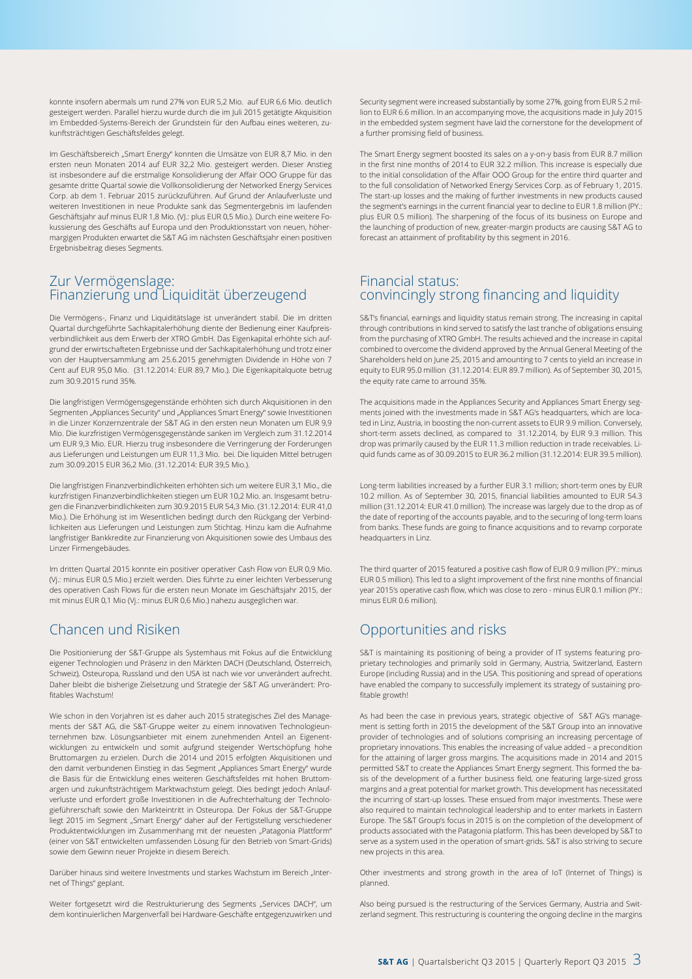konnte insofern abermals um rund 27% von EUR 5,2 Mio. auf EUR 6,6 Mio. deutlich gesteigert werden. Parallel hierzu wurde durch die im Juli 2015 getätigte Akquisition im Embedded-Systems-Bereich der Grundstein für den Aufbau eines weiteren, zukunftsträchtigen Geschäftsfeldes gelegt.

Im Geschäftsbereich "Smart Energy" konnten die Umsätze von EUR 8,7 Mio. in den ersten neun Monaten 2014 auf EUR 32,2 Mio. gesteigert werden. Dieser Anstieg ist insbesondere auf die erstmalige Konsolidierung der Affair OOO Gruppe für das gesamte dritte Quartal sowie die Vollkonsolidierung der Networked Energy Services Corp. ab dem 1. Februar 2015 zurückzuführen. Auf Grund der Anlaufverluste und weiteren Investitionen in neue Produkte sank das Segmentergebnis im laufenden Geschäftsjahr auf minus EUR 1,8 Mio. (VJ.: plus EUR 0,5 Mio.). Durch eine weitere Fokussierung des Geschäfts auf Europa und den Produktionsstart von neuen, höhermargigen Produkten erwartet die S&T AG im nächsten Geschäftsjahr einen positiven Ergebnisbeitrag dieses Segments.

### Zur Vermögenslage: Finanzierung und Liquidität überzeugend

Die Vermögens-, Finanz und Liquiditätslage ist unverändert stabil. Die im dritten Quartal durchgeführte Sachkapitalerhöhung diente der Bedienung einer Kaufpreisverbindlichkeit aus dem Erwerb der XTRO GmbH. Das Eigenkapital erhöhte sich aufgrund der erwirtschafteten Ergebnisse und der Sachkapitalerhöhung und trotz einer von der Hauptversammlung am 25.6.2015 genehmigten Dividende in Höhe von 7 Cent auf EUR 95,0 Mio. (31.12.2014: EUR 89,7 Mio.). Die Eigenkapitalquote betrug zum 30.9.2015 rund 35%.

Die langfristigen Vermögensgegenstände erhöhten sich durch Akquisitionen in den Segmenten "Appliances Security" und "Appliances Smart Energy" sowie Investitionen in die Linzer Konzernzentrale der S&T AG in den ersten neun Monaten um EUR 9,9 Mio. Die kurzfristigen Vermögensgegenstände sanken im Vergleich zum 31.12.2014 um EUR 9,3 Mio. EUR. Hierzu trug insbesondere die Verringerung der Forderungen aus Lieferungen und Leistungen um EUR 11,3 Mio. bei. Die liquiden Mittel betrugen zum 30.09.2015 EUR 36,2 Mio. (31.12.2014: EUR 39,5 Mio.).

Die langfristigen Finanzverbindlichkeiten erhöhten sich um weitere EUR 3,1 Mio., die kurzfristigen Finanzverbindlichkeiten stiegen um EUR 10,2 Mio. an. Insgesamt betrugen die Finanzverbindlichkeiten zum 30.9.2015 EUR 54,3 Mio. (31.12.2014: EUR 41,0 Mio.). Die Erhöhung ist im Wesentlichen bedingt durch den Rückgang der Verbindlichkeiten aus Lieferungen und Leistungen zum Stichtag. Hinzu kam die Aufnahme langfristiger Bankkredite zur Finanzierung von Akquisitionen sowie des Umbaus des Linzer Firmengebäudes.

Im dritten Quartal 2015 konnte ein positiver operativer Cash Flow von EUR 0,9 Mio. (Vj.: minus EUR 0,5 Mio.) erzielt werden. Dies führte zu einer leichten Verbesserung des operativen Cash Flows für die ersten neun Monate im Geschäftsjahr 2015, der mit minus EUR 0,1 Mio (Vj.: minus EUR 0,6 Mio.) nahezu ausgeglichen war.

## Chancen und Risiken

Die Positionierung der S&T-Gruppe als Systemhaus mit Fokus auf die Entwicklung eigener Technologien und Präsenz in den Märkten DACH (Deutschland, Österreich, Schweiz), Osteuropa, Russland und den USA ist nach wie vor unverändert aufrecht. Daher bleibt die bisherige Zielsetzung und Strategie der S&T AG unverändert: Profitables Wachstum!

Wie schon in den Vorjahren ist es daher auch 2015 strategisches Ziel des Managements der S&T AG, die S&T-Gruppe weiter zu einem innovativen Technologieunternehmen bzw. Lösungsanbieter mit einem zunehmenden Anteil an Eigenentwicklungen zu entwickeln und somit aufgrund steigender Wertschöpfung hohe Bruttomargen zu erzielen. Durch die 2014 und 2015 erfolgten Akquisitionen und den damit verbundenen Einstieg in das Segment "Appliances Smart Energy" wurde die Basis für die Entwicklung eines weiteren Geschäftsfeldes mit hohen Bruttomargen und zukunftsträchtigem Marktwachstum gelegt. Dies bedingt jedoch Anlaufverluste und erfordert große Investitionen in die Aufrechterhaltung der Technologieführerschaft sowie den Markteintritt in Osteuropa. Der Fokus der S&T-Gruppe liegt 2015 im Segment "Smart Energy" daher auf der Fertigstellung verschiedener Produktentwicklungen im Zusammenhang mit der neuesten "Patagonia Plattform" (einer von S&T entwickelten umfassenden Lösung für den Betrieb von Smart-Grids) sowie dem Gewinn neuer Projekte in diesem Bereich.

Darüber hinaus sind weitere Investments und starkes Wachstum im Bereich "Internet of Things" geplant.

Weiter fortgesetzt wird die Restrukturierung des Segments "Services DACH", um dem kontinuierlichen Margenverfall bei Hardware-Geschäfte entgegenzuwirken und

Security segment were increased substantially by some 27%, going from EUR 5.2 million to EUR 6.6 million. In an accompanying move, the acquisitions made in July 2015 in the embedded system segment have laid the cornerstone for the development of a further promising field of business.

The Smart Energy segment boosted its sales on a y-on-y basis from EUR 8.7 million in the first nine months of 2014 to EUR 32.2 million. This increase is especially due to the initial consolidation of the Affair OOO Group for the entire third quarter and to the full consolidation of Networked Energy Services Corp. as of February 1, 2015. The start-up losses and the making of further investments in new products caused the segment's earnings in the current financial year to decline to EUR 1.8 million (PY.: plus EUR 0.5 million). The sharpening of the focus of its business on Europe and the launching of production of new, greater-margin products are causing S&T AG to forecast an attainment of profitability by this segment in 2016.

### Financial status: convincingly strong financing and liquidity

S&T's financial, earnings and liquidity status remain strong. The increasing in capital through contributions in kind served to satisfy the last tranche of obligations ensuing from the purchasing of XTRO GmbH. The results achieved and the increase in capital combined to overcome the dividend approved by the Annual General Meeting of the Shareholders held on June 25, 2015 and amounting to 7 cents to yield an increase in equity to EUR 95.0 million (31.12.2014: EUR 89.7 million). As of September 30, 2015, the equity rate came to arround 35%.

The acquisitions made in the Appliances Security and Appliances Smart Energy segments joined with the investments made in S&T AG's headquarters, which are located in Linz, Austria, in boosting the non-current assets to EUR 9.9 million. Conversely, short-term assets declined, as compared to 31.12.2014, by EUR 9.3 million. This drop was primarily caused by the EUR 11.3 million reduction in trade receivables. Liquid funds came as of 30.09.2015 to EUR 36.2 million (31.12.2014: EUR 39.5 million).

Long-term liabilities increased by a further EUR 3.1 million; short-term ones by EUR 10.2 million. As of September 30, 2015, financial liabilities amounted to EUR 54.3 million (31.12.2014: EUR 41.0 million). The increase was largely due to the drop as of the date of reporting of the accounts payable, and to the securing of long-term loans from banks. These funds are going to finance acquisitions and to revamp corporate headquarters in Linz.

The third quarter of 2015 featured a positive cash flow of EUR 0.9 million (PY.: minus EUR 0.5 million). This led to a slight improvement of the first nine months of financial year 2015's operative cash flow, which was close to zero - minus EUR 0.1 million (PY.: minus EUR 0.6 million).

## Opportunities and risks

S&T is maintaining its positioning of being a provider of IT systems featuring proprietary technologies and primarily sold in Germany, Austria, Switzerland, Eastern Europe (including Russia) and in the USA. This positioning and spread of operations have enabled the company to successfully implement its strategy of sustaining profitable growth!

As had been the case in previous years, strategic objective of S&T AG's management is setting forth in 2015 the development of the S&T Group into an innovative provider of technologies and of solutions comprising an increasing percentage of proprietary innovations. This enables the increasing of value added – a precondition for the attaining of larger gross margins. The acquisitions made in 2014 and 2015 permitted S&T to create the Appliances Smart Energy segment. This formed the basis of the development of a further business field, one featuring large-sized gross margins and a great potential for market growth. This development has necessitated the incurring of start-up losses. These ensued from major investments. These were also required to maintain technological leadership and to enter markets in Eastern Europe. The S&T Group's focus in 2015 is on the completion of the development of products associated with the Patagonia platform. This has been developed by S&T to serve as a system used in the operation of smart-grids. S&T is also striving to secure new projects in this area.

Other investments and strong growth in the area of IoT (Internet of Things) is planned.

Also being pursued is the restructuring of the Services Germany, Austria and Switzerland segment. This restructuring is countering the ongoing decline in the margins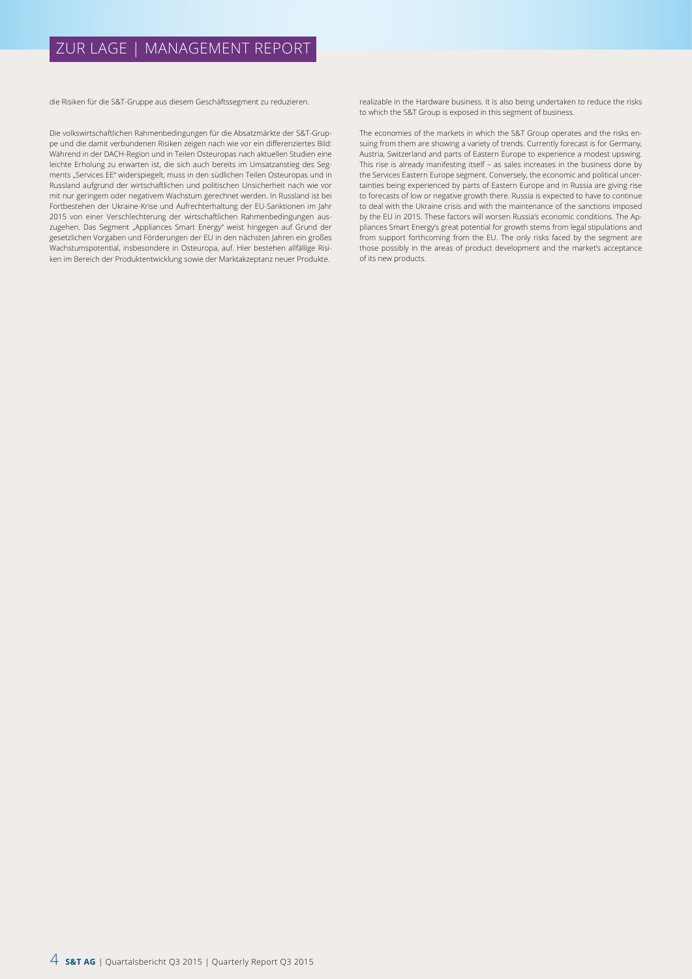## ZUR LAGE | MANAGEMENT REPORT

die Risiken für die S&T-Gruppe aus diesem Geschäftssegment zu reduzieren.

Die volkswirtschaftlichen Rahmenbedingungen für die Absatzmärkte der S&T-Gruppe und die damit verbundenen Risiken zeigen nach wie vor ein differenziertes Bild: Während in der DACH-Region und in Teilen Osteuropas nach aktuellen Studien eine leichte Erholung zu erwarten ist, die sich auch bereits im Umsatzanstieg des Segments "Services EE" widerspiegelt, muss in den südlichen Teilen Osteuropas und in Russland aufgrund der wirtschaftlichen und politischen Unsicherheit nach wie vor mit nur geringem oder negativem Wachstum gerechnet werden. In Russland ist bei Fortbestehen der Ukraine-Krise und Aufrechterhaltung der EU-Sanktionen im Jahr 2015 von einer Verschlechterung der wirtschaftlichen Rahmenbedingungen auszugehen. Das Segment "Appliances Smart Energy" weist hingegen auf Grund der gesetzlichen Vorgaben und Förderungen der EU in den nächsten Jahren ein großes Wachstumspotential, insbesondere in Osteuropa, auf. Hier bestehen allfällige Risiken im Bereich der Produktentwicklung sowie der Marktakzeptanz neuer Produkte.

realizable in the Hardware business. It is also being undertaken to reduce the risks to which the S&T Group is exposed in this segment of business.

The economies of the markets in which the S&T Group operates and the risks ensuing from them are showing a variety of trends. Currently forecast is for Germany, Austria, Switzerland and parts of Eastern Europe to experience a modest upswing. This rise is already manifesting itself – as sales increases in the business done by the Services Eastern Europe segment. Conversely, the economic and political uncertainties being experienced by parts of Eastern Europe and in Russia are giving rise to forecasts of low or negative growth there. Russia is expected to have to continue to deal with the Ukraine crisis and with the maintenance of the sanctions imposed by the EU in 2015. These factors will worsen Russia's economic conditions. The Appliances Smart Energy's great potential for growth stems from legal stipulations and from support forthcoming from the EU. The only risks faced by the segment are those possibly in the areas of product development and the market's acceptance of its new products.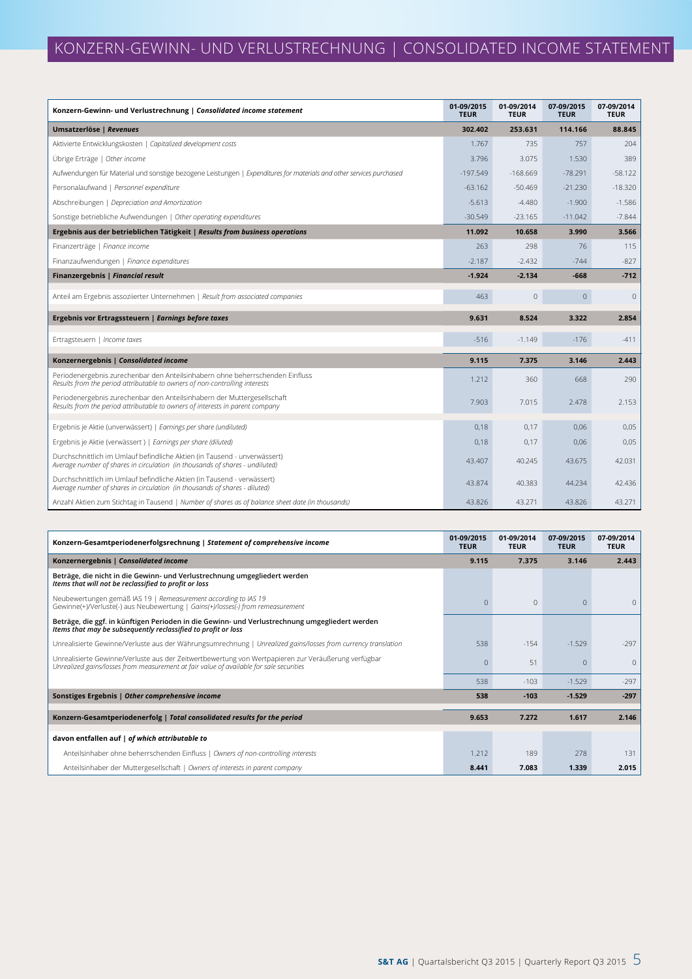| Konzern-Gewinn- und Verlustrechnung   Consolidated income statement                                                                                          | 01-09/2015<br><b>TEUR</b> | 01-09/2014<br><b>TEUR</b> | 07-09/2015<br><b>TEUR</b> | 07-09/2014<br><b>TEUR</b> |
|--------------------------------------------------------------------------------------------------------------------------------------------------------------|---------------------------|---------------------------|---------------------------|---------------------------|
| Umsatzerlöse   Revenues                                                                                                                                      | 302.402                   | 253.631                   | 114.166                   | 88.845                    |
| Aktivierte Entwicklungskosten   Capitalized development costs                                                                                                | 1.767                     | 735                       | 757                       | 204                       |
| Übrige Erträge   Other income                                                                                                                                | 3.796                     | 3.075                     | 1.530                     | 389                       |
| Aufwendungen für Material und sonstige bezogene Leistungen   Expenditures for materials and other services purchased                                         | $-197.549$                | $-168.669$                | $-78.291$                 | $-58.122$                 |
| Personalaufwand   Personnel expenditure                                                                                                                      | $-63.162$                 | $-50.469$                 | $-21.230$                 | $-18.320$                 |
| Abschreibungen   Depreciation and Amortization                                                                                                               | $-5.613$                  | $-4.480$                  | $-1.900$                  | $-1.586$                  |
| Sonstige betriebliche Aufwendungen   Other operating expenditures                                                                                            | $-30.549$                 | $-23.165$                 | $-11.042$                 | $-7.844$                  |
| Ergebnis aus der betrieblichen Tätigkeit   Results from business operations                                                                                  | 11.092                    | 10.658                    | 3.990                     | 3.566                     |
| Finanzerträge   Finance income                                                                                                                               | 263                       | 298                       | 76                        | 115                       |
| Finanzaufwendungen   Finance expenditures                                                                                                                    | $-2.187$                  | $-2.432$                  | $-744$                    | $-827$                    |
| Finanzergebnis   Financial result                                                                                                                            | $-1.924$                  | $-2.134$                  | $-668$                    | $-712$                    |
| Anteil am Ergebnis assoziierter Unternehmen   Result from associated companies                                                                               | 463                       | $\mathbb O$               | $\mathbf{0}$              | $\mathbf{0}$              |
| Ergebnis vor Ertragssteuern   Earnings before taxes                                                                                                          | 9.631                     | 8.524                     | 3.322                     | 2.854                     |
| Ertragsteuern   Income taxes                                                                                                                                 | $-516$                    | $-1.149$                  | $-176$                    | $-411$                    |
| Konzernergebnis   Consolidated income                                                                                                                        | 9.115                     | 7.375                     | 3.146                     | 2.443                     |
| Periodenergebnis zurechenbar den Anteilsinhabern ohne beherrschenden Einfluss<br>Results from the period attributable to owners of non-controlling interests | 1.212                     | 360                       | 668                       | 290                       |
| Periodenergebnis zurechenbar den Anteilsinhabern der Muttergesellschaft<br>Results from the period attributable to owners of interests in parent company     | 7.903                     | 7.015                     | 2.478                     | 2.153                     |
| Ergebnis je Aktie (unverwässert)   Earnings per share (undiluted)                                                                                            | 0,18                      | 0,17                      | 0,06                      | 0,05                      |
| Ergebnis je Aktie (verwässert)   Earnings per share (diluted)                                                                                                | 0,18                      | 0,17                      | 0,06                      | 0,05                      |
| Durchschnittlich im Umlauf befindliche Aktien (in Tausend - unverwässert)<br>Average number of shares in circulation (in thousands of shares - undiluted)    | 43.407                    | 40.245                    | 43.675                    | 42.031                    |
| Durchschnittlich im Umlauf befindliche Aktien (in Tausend - verwässert)<br>Average number of shares in circulation (in thousands of shares - diluted)        | 43.874                    | 40.383                    | 44.234                    | 42.436                    |
| Anzahl Aktien zum Stichtag in Tausend   Number of shares as of balance sheet date (in thousands)                                                             | 43.826                    | 43.271                    | 43.826                    | 43.271                    |

| Konzern-Gesamtperiodenerfolgsrechnung   Statement of comprehensive income                                                                                                                      | 01-09/2015<br><b>TEUR</b> | 01-09/2014<br><b>TEUR</b> | 07-09/2015<br><b>TEUR</b> | 07-09/2014<br><b>TEUR</b> |
|------------------------------------------------------------------------------------------------------------------------------------------------------------------------------------------------|---------------------------|---------------------------|---------------------------|---------------------------|
| Konzernergebnis   Consolidated income                                                                                                                                                          | 9.115                     | 7.375                     | 3.146                     | 2.443                     |
| Beträge, die nicht in die Gewinn- und Verlustrechnung umgegliedert werden<br>Items that will not be reclassified to profit or loss                                                             |                           |                           |                           |                           |
| Neubewertungen gemäß IAS 19   Remeasurement according to IAS 19<br>Gewinne(+)/Verluste(-) aus Neubewertung   Gains(+)/losses(-) from remeasurement                                             | $\Omega$                  | $\Omega$                  | $\Omega$                  | $\Omega$                  |
| Beträge, die ggf. in künftigen Perioden in die Gewinn- und Verlustrechnung umgegliedert werden<br>Items that may be subsequently reclassified to profit or loss                                |                           |                           |                           |                           |
| Unrealisierte Gewinne/Verluste aus der Währungsumrechnung   Unrealized gains/losses from currency translation                                                                                  | 538                       | $-154$                    | $-1.529$                  | $-297$                    |
| Unrealisierte Gewinne/Verluste aus der Zeitwertbewertung von Wertpapieren zur Veräußerung verfügbar<br>Unrealized gains/losses from measurement at fair value of available for sale securities | $\Omega$                  | 51                        | $\Omega$                  | $\Omega$                  |
|                                                                                                                                                                                                | 538                       | $-103$                    | $-1.529$                  | $-297$                    |
| Sonstiges Ergebnis   Other comprehensive income                                                                                                                                                | 538                       | $-103$                    | $-1.529$                  | $-297$                    |
| Konzern-Gesamtperiodenerfolg   Total consolidated results for the period                                                                                                                       | 9.653                     | 7.272                     | 1.617                     | 2.146                     |
| davon entfallen auf   of which attributable to                                                                                                                                                 |                           |                           |                           |                           |
| Anteilsinhaber ohne beherrschenden Einfluss   Owners of non-controlling interests                                                                                                              | 1.212                     | 189                       | 278                       | 131                       |
| Anteilsinhaber der Muttergesellschaft   Owners of interests in parent company                                                                                                                  | 8.441                     | 7.083                     | 1.339                     | 2.015                     |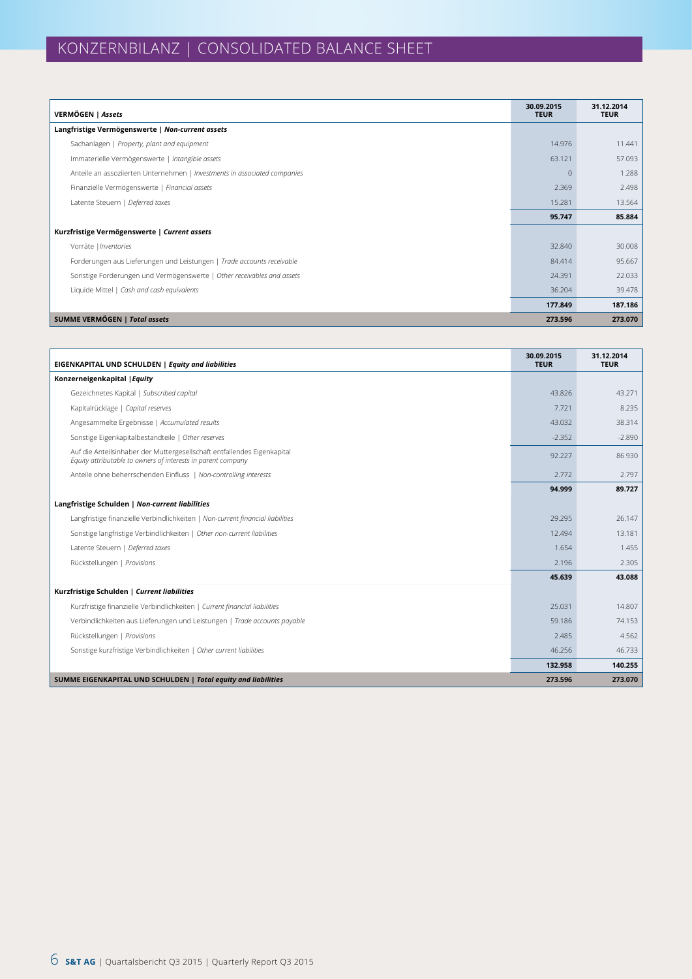| VERMÖGEN   Assets                                                         | 30.09.2015<br><b>TEUR</b> | 31.12.2014<br><b>TEUR</b> |
|---------------------------------------------------------------------------|---------------------------|---------------------------|
| Langfristige Vermögenswerte   Non-current assets                          |                           |                           |
| Sachanlagen   Property, plant and equipment                               | 14.976                    | 11.441                    |
| Immaterielle Vermögenswerte   Intangible assets                           | 63.121                    | 57.093                    |
| Anteile an assoziierten Unternehmen   Investments in associated companies | $\theta$                  | 1.288                     |
| Finanzielle Vermögenswerte   Financial assets                             | 2.369                     | 2.498                     |
| Latente Steuern   Deferred taxes                                          | 15.281                    | 13.564                    |
|                                                                           | 95.747                    | 85.884                    |
| Kurzfristige Vermögenswerte   Current assets                              |                           |                           |
| Vorräte   Inventories                                                     | 32.840                    | 30.008                    |
| Forderungen aus Lieferungen und Leistungen   Trade accounts receivable    | 84,414                    | 95.667                    |
| Sonstige Forderungen und Vermögenswerte   Other receivables and assets    | 24.391                    | 22.033                    |
| Liquide Mittel   Cash and cash equivalents                                | 36.204                    | 39.478                    |
|                                                                           | 177.849                   | 187.186                   |
| <b>SUMME VERMÖGEN   Total assets</b>                                      | 273.596                   | 273.070                   |

| EIGENKAPITAL UND SCHULDEN   Equity and liabilities                                                                                      | 30.09.2015<br><b>TEUR</b> | 31.12.2014<br><b>TEUR</b> |
|-----------------------------------------------------------------------------------------------------------------------------------------|---------------------------|---------------------------|
| Konzerneigenkapital   Equity                                                                                                            |                           |                           |
| Gezeichnetes Kapital   Subscribed capital                                                                                               | 43.826                    | 43.271                    |
| Kapitalrücklage   Capital reserves                                                                                                      | 7.721                     | 8.235                     |
| Angesammelte Ergebnisse   Accumulated results                                                                                           | 43.032                    | 38.314                    |
| Sonstige Eigenkapitalbestandteile   Other reserves                                                                                      | $-2.352$                  | $-2.890$                  |
| Auf die Anteilsinhaber der Muttergesellschaft entfallendes Eigenkapital<br>Equity attributable to owners of interests in parent company | 92.227                    | 86.930                    |
| Anteile ohne beherrschenden Einfluss   Non-controlling interests                                                                        | 2.772                     | 2.797                     |
|                                                                                                                                         | 94.999                    | 89.727                    |
| Langfristige Schulden   Non-current liabilities                                                                                         |                           |                           |
| Langfristige finanzielle Verbindlichkeiten   Non-current financial liabilities                                                          | 29.295                    | 26.147                    |
| Sonstige langfristige Verbindlichkeiten   Other non-current liabilities                                                                 | 12.494                    | 13.181                    |
| Latente Steuern   Deferred taxes                                                                                                        | 1.654                     | 1.455                     |
| Rückstellungen   Provisions                                                                                                             | 2.196                     | 2.305                     |
|                                                                                                                                         | 45.639                    | 43.088                    |
| Kurzfristige Schulden   Current liabilities                                                                                             |                           |                           |
| Kurzfristige finanzielle Verbindlichkeiten   Current financial liabilities                                                              | 25.031                    | 14.807                    |
| Verbindlichkeiten aus Lieferungen und Leistungen   Trade accounts payable                                                               | 59.186                    | 74.153                    |
| Rückstellungen   Provisions                                                                                                             | 2.485                     | 4.562                     |
| Sonstige kurzfristige Verbindlichkeiten   Other current liabilities                                                                     | 46.256                    | 46.733                    |
|                                                                                                                                         | 132.958                   | 140.255                   |
| SUMME EIGENKAPITAL UND SCHULDEN   Total equity and liabilities                                                                          | 273.596                   | 273.070                   |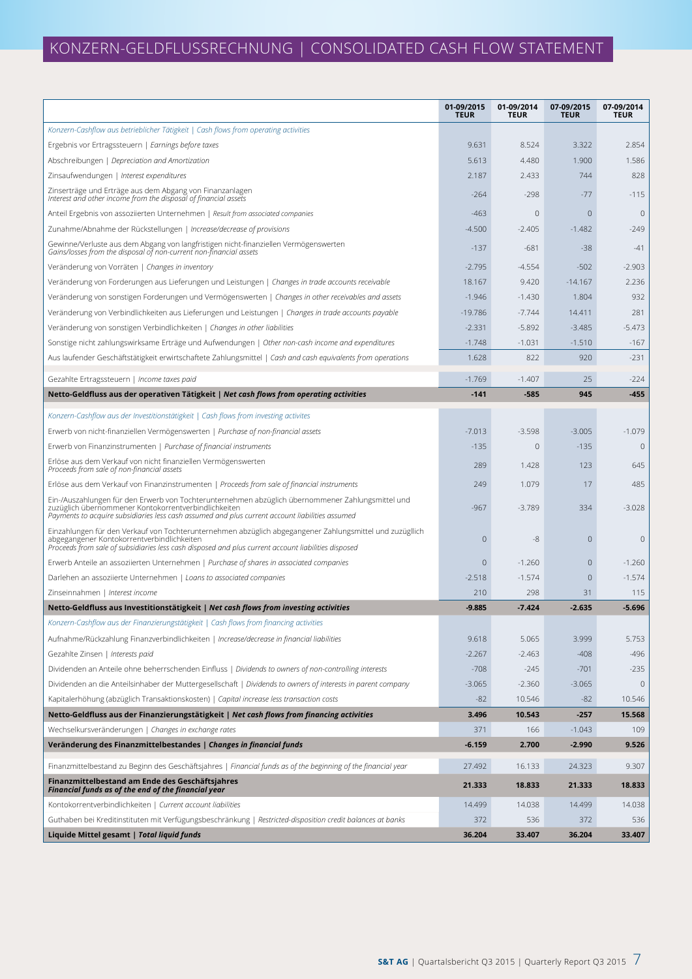# KONZERN-GELDFLUSSRECHNUNG | CONSOLIDATED CASH FLOW STATEMENT

|                                                                                                                                                                                                                                                               | 01-09/2015<br><b>TEUR</b> | 01-09/2014<br><b>TEUR</b> | 07-09/2015<br><b>TEUR</b> | 07-09/2014<br><b>TEUR</b> |
|---------------------------------------------------------------------------------------------------------------------------------------------------------------------------------------------------------------------------------------------------------------|---------------------------|---------------------------|---------------------------|---------------------------|
| Konzern-Cashflow aus betrieblicher Tätigkeit   Cash flows from operating activities                                                                                                                                                                           |                           |                           |                           |                           |
| Ergebnis vor Ertragssteuern   Earnings before taxes                                                                                                                                                                                                           | 9.631                     | 8.524                     | 3.322                     | 2.854                     |
| Abschreibungen   Depreciation and Amortization                                                                                                                                                                                                                | 5.613                     | 4.480                     | 1.900                     | 1.586                     |
| Zinsaufwendungen   Interest expenditures                                                                                                                                                                                                                      | 2.187                     | 2.433                     | 744                       | 828                       |
| Zinserträge und Erträge aus dem Abgang von Finanzanlagen<br>Interest and other income from the disposal of financial assets                                                                                                                                   | $-264$                    | $-298$                    | $-77$                     | $-115$                    |
| Anteil Ergebnis von assoziierten Unternehmen   Result from associated companies                                                                                                                                                                               | $-463$                    | $\mathbf{0}$              | $\mathbf{0}$              | $\mathbf 0$               |
| Zunahme/Abnahme der Rückstellungen   Increase/decrease of provisions                                                                                                                                                                                          | $-4.500$                  | $-2.405$                  | $-1.482$                  | $-249$                    |
| Gewinne/Verluste aus dem Abgang von langfristigen nicht-finanziellen Vermögenswerten<br>Gains/losses from the disposal of non-current non-financial assets                                                                                                    | $-137$                    | $-681$                    | $-38$                     | $-41$                     |
| Veränderung von Vorräten   Changes in inventory                                                                                                                                                                                                               | $-2.795$                  | $-4.554$                  | $-502$                    | $-2.903$                  |
| Veränderung von Forderungen aus Lieferungen und Leistungen   Changes in trade accounts receivable                                                                                                                                                             | 18.167                    | 9.420                     | $-14.167$                 | 2.236                     |
| Veränderung von sonstigen Forderungen und Vermögenswerten   Changes in other receivables and assets                                                                                                                                                           | $-1.946$                  | $-1.430$                  | 1.804                     | 932                       |
| Veränderung von Verbindlichkeiten aus Lieferungen und Leistungen   Changes in trade accounts payable                                                                                                                                                          | $-19.786$                 | $-7.744$                  | 14.411                    | 281                       |
| Veränderung von sonstigen Verbindlichkeiten   Changes in other liabilities                                                                                                                                                                                    | $-2.331$                  | $-5.892$                  | $-3.485$                  | $-5.473$                  |
| Sonstige nicht zahlungswirksame Erträge und Aufwendungen   Other non-cash income and expenditures                                                                                                                                                             | $-1.748$                  | $-1.031$                  | $-1.510$                  | $-167$                    |
| Aus laufender Geschäftstätigkeit erwirtschaftete Zahlungsmittel   Cash and cash equivalents from operations                                                                                                                                                   | 1.628                     | 822                       | 920                       | $-231$                    |
| Gezahlte Ertragssteuern   Income taxes paid                                                                                                                                                                                                                   | $-1.769$                  | $-1.407$                  | 25                        | $-224$                    |
| Netto-Geldfluss aus der operativen Tätigkeit   Net cash flows from operating activities                                                                                                                                                                       | $-141$                    | $-585$                    | 945                       | $-455$                    |
| Konzern-Cashflow aus der Investitionstätigkeit   Cash flows from investing activites                                                                                                                                                                          |                           |                           |                           |                           |
| Erwerb von nicht-finanziellen Vermögenswerten   Purchase of non-financial assets                                                                                                                                                                              | $-7.013$                  | $-3.598$                  | $-3.005$                  | $-1.079$                  |
| Erwerb von Finanzinstrumenten   Purchase of financial instruments                                                                                                                                                                                             | $-135$                    | $\mathbf 0$               | $-135$                    | $\mathbf 0$               |
| Erlöse aus dem Verkauf von nicht finanziellen Vermögenswerten<br>Proceeds from sale of non-financial assets                                                                                                                                                   | 289                       | 1.428                     | 123                       | 645                       |
| Erlöse aus dem Verkauf von Finanzinstrumenten   Proceeds from sale of financial instruments                                                                                                                                                                   | 249                       | 1.079                     | 17                        | 485                       |
| Ein-/Auszahlungen für den Erwerb von Tochterunternehmen abzüglich übernommener Zahlungsmittel und<br>zuzüglich übernommener Kontokorrentverbindlichkeiten<br>Payments to acquire subsidiaries less cash assumed and plus current account liabilities assumed  | $-967$                    | $-3.789$                  | 334                       | $-3.028$                  |
| Einzahlungen für den Verkauf von Tochterunternehmen abzüglich abgegangener Zahlungsmittel und zuzügllich<br>abgegangener Kontokorrentverbindlichkeiten<br>Proceeds from sale of subsidiaries less cash disposed and plus current account liabilities disposed | $\overline{0}$            | -8                        | $\mathbf{0}$              | $\mathbf{0}$              |
| Erwerb Anteile an assoziierten Unternehmen   Purchase of shares in associated companies                                                                                                                                                                       | $\mathbf{0}$              | $-1.260$                  | $\mathbf 0$               | $-1.260$                  |
| Darlehen an assoziierte Unternehmen   Loans to associated companies                                                                                                                                                                                           | $-2.518$                  | $-1.574$                  | $\mathbf{0}$              | $-1.574$                  |
| Zinseinnahmen   Interest income                                                                                                                                                                                                                               | 210                       | 298                       | 31                        | 115                       |
| Netto-Geldfluss aus Investitionstätigkeit   Net cash flows from investing activities                                                                                                                                                                          | $-9.885$                  | $-7.424$                  | $-2.635$                  | -5.696                    |
| Konzern-Cashflow aus der Finanzierungstätigkeit   Cash flows from financing activities                                                                                                                                                                        |                           |                           |                           |                           |
| Aufnahme/Rückzahlung Finanzverbindlichkeiten   Increase/decrease in financial liabilities                                                                                                                                                                     | 9.618                     | 5.065                     | 3.999                     | 5.753                     |
| Gezahlte Zinsen   Interests paid                                                                                                                                                                                                                              | $-2.267$                  | $-2.463$                  | $-408$                    | $-496$                    |
| Dividenden an Anteile ohne beherrschenden Einfluss   Dividends to owners of non-controlling interests                                                                                                                                                         | $-708$                    | $-245$                    | $-701$                    | $-235$                    |
| Dividenden an die Anteilsinhaber der Muttergesellschaft   Dividends to owners of interests in parent company                                                                                                                                                  | $-3.065$                  | $-2.360$                  | $-3.065$                  | $\mathbf{0}$              |
| Kapitalerhöhung (abzüglich Transaktionskosten)   Capital increase less transaction costs                                                                                                                                                                      | $-82$                     | 10.546                    | $-82$                     | 10.546                    |
| Netto-Geldfluss aus der Finanzierungstätigkeit   Net cash flows from financing activities                                                                                                                                                                     | 3.496                     | 10.543                    | $-257$                    | 15.568                    |
| Wechselkursveränderungen   Changes in exchange rates                                                                                                                                                                                                          | 371                       | 166                       | $-1.043$                  | 109                       |
| Veränderung des Finanzmittelbestandes   Changes in financial funds                                                                                                                                                                                            | $-6.159$                  | 2.700                     | $-2.990$                  | 9.526                     |
| Finanzmittelbestand zu Beginn des Geschäftsjahres   Financial funds as of the beginning of the financial year                                                                                                                                                 | 27.492                    | 16.133                    | 24.323                    | 9.307                     |
| Finanzmittelbestand am Ende des Geschäftsjahres<br>Financial funds as of the end of the financial year                                                                                                                                                        | 21.333                    | 18.833                    | 21.333                    | 18.833                    |
| Kontokorrentverbindlichkeiten   Current account liabilities                                                                                                                                                                                                   | 14.499                    | 14.038                    | 14.499                    | 14.038                    |
| Guthaben bei Kreditinstituten mit Verfügungsbeschränkung   Restricted-disposition credit balances at banks                                                                                                                                                    | 372                       | 536                       | 372                       | 536                       |
| Liquide Mittel gesamt   Total liquid funds                                                                                                                                                                                                                    | 36.204                    | 33.407                    | 36.204                    | 33.407                    |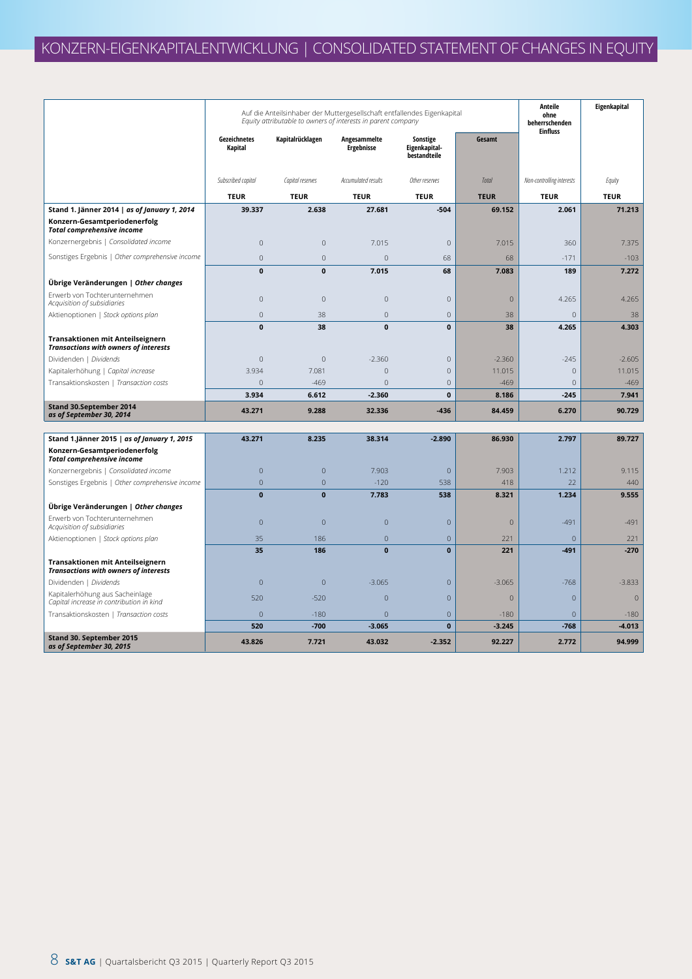|                                                                                  | Auf die Anteilsinhaber der Muttergesellschaft entfallendes Eigenkapital<br>Equity attributable to owners of interests in parent company |                  |                                   |                                           |                | Anteile<br>ohne<br>beherrschenden<br><b>Einfluss</b> | Eigenkapital |
|----------------------------------------------------------------------------------|-----------------------------------------------------------------------------------------------------------------------------------------|------------------|-----------------------------------|-------------------------------------------|----------------|------------------------------------------------------|--------------|
|                                                                                  | Gezeichnetes<br>Kapital                                                                                                                 | Kapitalrücklagen | Angesammelte<br><b>Ergebnisse</b> | Sonstige<br>Eigenkapital-<br>bestandteile | Gesamt         |                                                      |              |
|                                                                                  | Subscribed capital                                                                                                                      | Capital reserves | Accumulated results               | Other reserves                            | Total          | Non-controlling interests                            | Equity       |
|                                                                                  | <b>TEUR</b>                                                                                                                             | <b>TEUR</b>      | <b>TEUR</b>                       | <b>TEUR</b>                               | <b>TEUR</b>    | <b>TEUR</b>                                          | <b>TEUR</b>  |
| Stand 1. Jänner 2014   as of January 1, 2014                                     | 39.337                                                                                                                                  | 2.638            | 27.681                            | $-504$                                    | 69.152         | 2.061                                                | 71.213       |
| Konzern-Gesamtperiodenerfolg<br><b>Total comprehensive income</b>                |                                                                                                                                         |                  |                                   |                                           |                |                                                      |              |
| Konzernergebnis   Consolidated income                                            | $\mathbf 0$                                                                                                                             | $\mathbf 0$      | 7.015                             | $\mathbf 0$                               | 7.015          | 360                                                  | 7.375        |
| Sonstiges Ergebnis   Other comprehensive income                                  | $\mathbf 0$                                                                                                                             | $\mathbf 0$      | $\mathbf{0}$                      | 68                                        | 68             | $-171$                                               | $-103$       |
|                                                                                  | $\mathbf{0}$                                                                                                                            | $\mathbf{0}$     | 7.015                             | 68                                        | 7.083          | 189                                                  | 7.272        |
| Übrige Veränderungen   Other changes                                             |                                                                                                                                         |                  |                                   |                                           |                |                                                      |              |
| Erwerb von Tochterunternehmen<br>Acquisition of subsidiaries                     | $\mathbf 0$                                                                                                                             | $\mathbf 0$      | $\mathbf{0}$                      | $\mathbf 0$                               | $\mathbf{0}$   | 4.265                                                | 4.265        |
| Aktienoptionen   Stock options plan                                              | $\mathbf 0$                                                                                                                             | 38               | $\mathbf 0$                       | $\mathbf 0$                               | 38             | $\overline{0}$                                       | 38           |
|                                                                                  | $\mathbf{0}$                                                                                                                            | 38               | $\mathbf 0$                       | $\mathbf 0$                               | 38             | 4.265                                                | 4.303        |
| Transaktionen mit Anteilseignern<br><b>Transactions with owners of interests</b> |                                                                                                                                         |                  |                                   |                                           |                |                                                      |              |
| Dividenden   Dividends                                                           | $\overline{0}$                                                                                                                          | $\overline{0}$   | $-2.360$                          | $\mathbf{0}$                              | $-2.360$       | $-245$                                               | $-2.605$     |
| Kapitalerhöhung   Capital increase                                               | 3.934                                                                                                                                   | 7.081            | $\mathbf 0$                       | $\mathbf 0$                               | 11.015         | $\mathbf 0$                                          | 11.015       |
| Transaktionskosten   Transaction costs                                           | $\overline{0}$                                                                                                                          | $-469$           | $\overline{0}$                    | $\mathbf{0}$                              | $-469$         | $\overline{0}$                                       | $-469$       |
|                                                                                  | 3.934                                                                                                                                   | 6.612            | $-2.360$                          | $\mathbf{0}$                              | 8.186          | $-245$                                               | 7.941        |
| Stand 30.September 2014<br>as of September 30, 2014                              | 43.271                                                                                                                                  | 9.288            | 32.336                            | $-436$                                    | 84.459         | 6.270                                                | 90.729       |
| Stand 1.Jänner 2015   as of January 1, 2015                                      | 43.271                                                                                                                                  | 8.235            | 38.314                            | $-2.890$                                  | 86.930         | 2.797                                                | 89.727       |
| Konzern-Gesamtperiodenerfolg<br><b>Total comprehensive income</b>                |                                                                                                                                         |                  |                                   |                                           |                |                                                      |              |
| Konzernergebnis   Consolidated income                                            | $\mathbf 0$                                                                                                                             | $\mathbf 0$      | 7.903                             | $\mathbf 0$                               | 7.903          | 1.212                                                | 9.115        |
| Sonstiges Ergebnis   Other comprehensive income                                  | $\overline{0}$                                                                                                                          | $\overline{0}$   | $-120$                            | 538                                       | 418            | 22                                                   | 440          |
|                                                                                  | $\bf{0}$                                                                                                                                | $\mathbf{0}$     | 7.783                             | 538                                       | 8.321          | 1.234                                                | 9.555        |
| Übrige Veränderungen   Other changes                                             |                                                                                                                                         |                  |                                   |                                           |                |                                                      |              |
| Erwerb von Tochterunternehmen<br>Acquisition of subsidiaries                     | $\overline{0}$                                                                                                                          | $\overline{0}$   | $\overline{0}$                    | $\mathbf 0$                               | $\overline{0}$ | $-491$                                               | $-491$       |
| Aktienoptionen   Stock options plan                                              | 35                                                                                                                                      | 186              | $\overline{0}$                    | $\mathbf 0$                               | 221            | $\mathbf{0}$                                         | 221          |
| Transaktionen mit Anteilseignern<br><b>Transactions with owners of interests</b> | 35                                                                                                                                      | 186              | $\mathbf 0$                       | $\pmb{0}$                                 | 221            | $-491$                                               | $-270$       |
| Dividenden   Dividends                                                           | $\mathsf{O}\xspace$                                                                                                                     | $\mathbf{0}$     | $-3.065$                          | $\sqrt{0}$                                | $-3.065$       | $-768$                                               | $-3.833$     |
| Kapitalerhöhung aus Sacheinlage<br>Capital increase in contribution in kind      | 520                                                                                                                                     | $-520$           | $\overline{0}$                    | $\mathbf{0}$                              | $\mathbf{0}$   | $\overline{0}$                                       | $\mathbf{0}$ |
| Transaktionskosten   Transaction costs                                           | $\overline{0}$                                                                                                                          | $-180$           | $\overline{0}$                    | $\overline{0}$                            | $-180$         | $\overline{0}$                                       | $-180$       |
|                                                                                  | 520                                                                                                                                     | $-700$           | $-3.065$                          | $\bf{0}$                                  | $-3.245$       | $-768$                                               | $-4.013$     |
| Stand 30. September 2015<br>as of September 30, 2015                             | 43.826                                                                                                                                  | 7.721            | 43.032                            | $-2.352$                                  | 92.227         | 2.772                                                | 94.999       |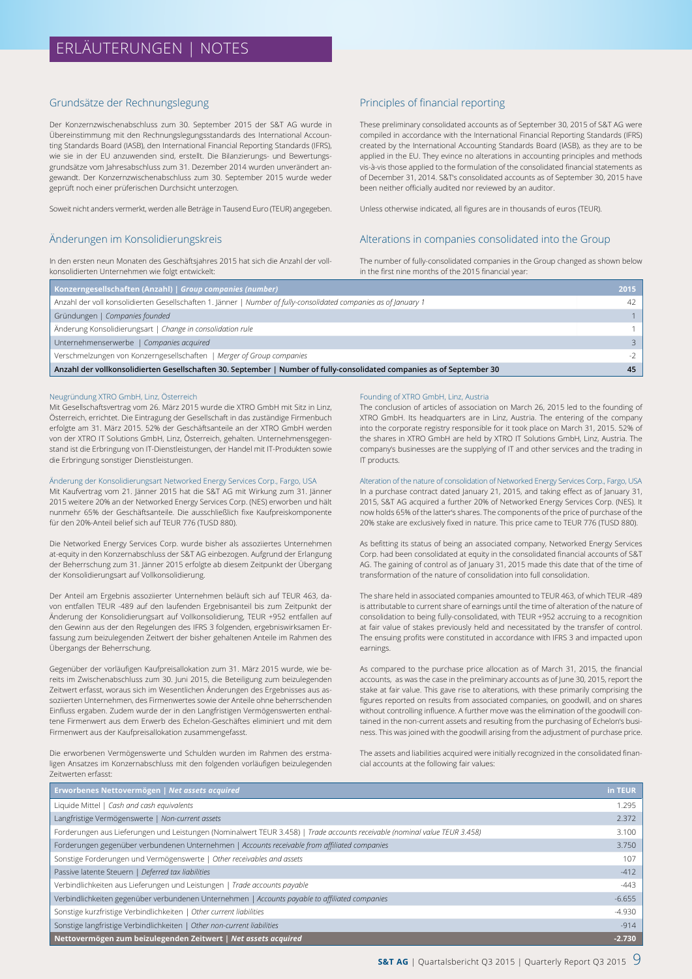#### Grundsätze der Rechnungslegung

Der Konzernzwischenabschluss zum 30. September 2015 der S&T AG wurde in Übereinstimmung mit den Rechnungslegungsstandards des International Accounting Standards Board (IASB), den International Financial Reporting Standards (IFRS), wie sie in der EU anzuwenden sind, erstellt. Die Bilanzierungs- und Bewertungsgrundsätze vom Jahresabschluss zum 31. Dezember 2014 wurden unverändert angewandt. Der Konzernzwischenabschluss zum 30. September 2015 wurde weder geprüft noch einer prüferischen Durchsicht unterzogen.

Soweit nicht anders vermerkt, werden alle Beträge in Tausend Euro (TEUR) angegeben.

#### Änderungen im Konsolidierungskreis

In den ersten neun Monaten des Geschäftsjahres 2015 hat sich die Anzahl der vollkonsolidierten Unternehmen wie folgt entwickelt:

#### Principles of financial reporting

These preliminary consolidated accounts as of September 30, 2015 of S&T AG were compiled in accordance with the International Financial Reporting Standards (IFRS) created by the International Accounting Standards Board (IASB), as they are to be applied in the EU. They evince no alterations in accounting principles and methods vis-à-vis those applied to the formulation of the consolidated financial statements as of December 31, 2014. S&T's consolidated accounts as of September 30, 2015 have been neither officially audited nor reviewed by an auditor.

Unless otherwise indicated, all figures are in thousands of euros (TEUR).

#### Alterations in companies consolidated into the Group

The number of fully-consolidated companies in the Group changed as shown below in the first nine months of the 2015 financial year:

| Konzerngesellschaften (Anzahl)   Group companies (number)                                                              | 2015 |
|------------------------------------------------------------------------------------------------------------------------|------|
| Anzahl der voll konsolidierten Gesellschaften 1. Jänner   Number of fully-consolidated companies as of January 1       | 42   |
| Gründungen   Companies founded                                                                                         |      |
| Anderung Konsolidierungsart   Change in consolidation rule                                                             |      |
| Unternehmenserwerbe   Companies acquired                                                                               |      |
| Verschmelzungen von Konzerngesellschaften   Merger of Group companies                                                  | $-2$ |
| Anzahl der vollkonsolidierten Gesellschaften 30. September   Number of fully-consolidated companies as of September 30 | 45   |

#### Neugründung XTRO GmbH, Linz, Österreich

Mit Gesellschaftsvertrag vom 26. März 2015 wurde die XTRO GmbH mit Sitz in Linz, Österreich, errichtet. Die Eintragung der Gesellschaft in das zuständige Firmenbuch erfolgte am 31. März 2015. 52% der Geschäftsanteile an der XTRO GmbH werden von der XTRO IT Solutions GmbH, Linz, Österreich, gehalten. Unternehmensgegenstand ist die Erbringung von IT-Dienstleistungen, der Handel mit IT-Produkten sowie die Erbringung sonstiger Dienstleistungen.

#### Änderung der Konsolidierungsart Networked Energy Services Corp., Fargo, USA

Mit Kaufvertrag vom 21. Jänner 2015 hat die S&T AG mit Wirkung zum 31. Jänner 2015 weitere 20% an der Networked Energy Services Corp. (NES) erworben und hält nunmehr 65% der Geschäftsanteile. Die ausschließlich fixe Kaufpreiskomponente für den 20%-Anteil belief sich auf TEUR 776 (TUSD 880).

Die Networked Energy Services Corp. wurde bisher als assoziiertes Unternehmen at-equity in den Konzernabschluss der S&T AG einbezogen. Aufgrund der Erlangung der Beherrschung zum 31. Jänner 2015 erfolgte ab diesem Zeitpunkt der Übergang der Konsolidierungsart auf Vollkonsolidierung.

Der Anteil am Ergebnis assoziierter Unternehmen beläuft sich auf TEUR 463, davon entfallen TEUR -489 auf den laufenden Ergebnisanteil bis zum Zeitpunkt der Änderung der Konsolidierungsart auf Vollkonsolidierung, TEUR +952 entfallen auf den Gewinn aus der den Regelungen des IFRS 3 folgenden, ergebniswirksamen Erfassung zum beizulegenden Zeitwert der bisher gehaltenen Anteile im Rahmen des Übergangs der Beherrschung.

Gegenüber der vorläufigen Kaufpreisallokation zum 31. März 2015 wurde, wie bereits im Zwischenabschluss zum 30. Juni 2015, die Beteiligung zum beizulegenden Zeitwert erfasst, woraus sich im Wesentlichen Änderungen des Ergebnisses aus assoziierten Unternehmen, des Firmenwertes sowie der Anteile ohne beherrschenden Einfluss ergaben. Zudem wurde der in den Langfristigen Vermögenswerten enthaltene Firmenwert aus dem Erwerb des Echelon-Geschäftes eliminiert und mit dem Firmenwert aus der Kaufpreisallokation zusammengefasst.

Die erworbenen Vermögenswerte und Schulden wurden im Rahmen des erstmaligen Ansatzes im Konzernabschluss mit den folgenden vorläufigen beizulegenden Zeitwerten erfasst:

#### Founding of XTRO GmbH, Linz, Austria

The conclusion of articles of association on March 26, 2015 led to the founding of XTRO GmbH. Its headquarters are in Linz, Austria. The entering of the company into the corporate registry responsible for it took place on March 31, 2015. 52% of the shares in XTRO GmbH are held by XTRO IT Solutions GmbH, Linz, Austria. The company's businesses are the supplying of IT and other services and the trading in IT products.

Alteration of the nature of consolidation of Networked Energy Services Corp., Fargo, USA In a purchase contract dated January 21, 2015, and taking effect as of January 31, 2015, S&T AG acquired a further 20% of Networked Energy Services Corp. (NES). It now holds 65% of the latter's shares. The components of the price of purchase of the 20% stake are exclusively fixed in nature. This price came to TEUR 776 (TUSD 880).

As befitting its status of being an associated company, Networked Energy Services Corp. had been consolidated at equity in the consolidated financial accounts of S&T AG. The gaining of control as of January 31, 2015 made this date that of the time of transformation of the nature of consolidation into full consolidation.

The share held in associated companies amounted to TEUR 463, of which TEUR -489 is attributable to current share of earnings until the time of alteration of the nature of consolidation to being fully-consolidated, with TEUR +952 accruing to a recognition at fair value of stakes previously held and necessitated by the transfer of control. The ensuing profits were constituted in accordance with IFRS 3 and impacted upon earnings.

As compared to the purchase price allocation as of March 31, 2015, the financial accounts, as was the case in the preliminary accounts as of June 30, 2015, report the stake at fair value. This gave rise to alterations, with these primarily comprising the figures reported on results from associated companies, on goodwill, and on shares without controlling influence. A further move was the elimination of the goodwill contained in the non-current assets and resulting from the purchasing of Echelon's business. This was joined with the goodwill arising from the adjustment of purchase price.

The assets and liabilities acquired were initially recognized in the consolidated financial accounts at the following fair values:

| Erworbenes Nettovermögen   Net assets acquired                                                                             | in TEUR  |
|----------------------------------------------------------------------------------------------------------------------------|----------|
| Liquide Mittel   Cash and cash equivalents                                                                                 | 1.295    |
| Langfristige Vermögenswerte   Non-current assets                                                                           | 2.372    |
| Forderungen aus Lieferungen und Leistungen (Nominalwert TEUR 3.458)   Trade accounts receivable (nominal value TEUR 3.458) | 3.100    |
| Forderungen gegenüber verbundenen Unternehmen   Accounts receivable from affiliated companies                              | 3.750    |
| Sonstige Forderungen und Vermögenswerte   Other receivables and assets                                                     | 107      |
| Passive latente Steuern   Deferred tax liabilities                                                                         | $-412$   |
| Verbindlichkeiten aus Lieferungen und Leistungen   Trade accounts payable                                                  | $-443$   |
| Verbindlichkeiten gegenüber verbundenen Unternehmen   Accounts payable to affiliated companies                             | $-6.655$ |
| Sonstige kurzfristige Verbindlichkeiten   Other current liabilities                                                        | $-4.930$ |
| Sonstige langfristige Verbindlichkeiten   Other non-current liabilities                                                    | $-914$   |
| Nettovermögen zum beizulegenden Zeitwert   Net assets acquired                                                             | $-2.730$ |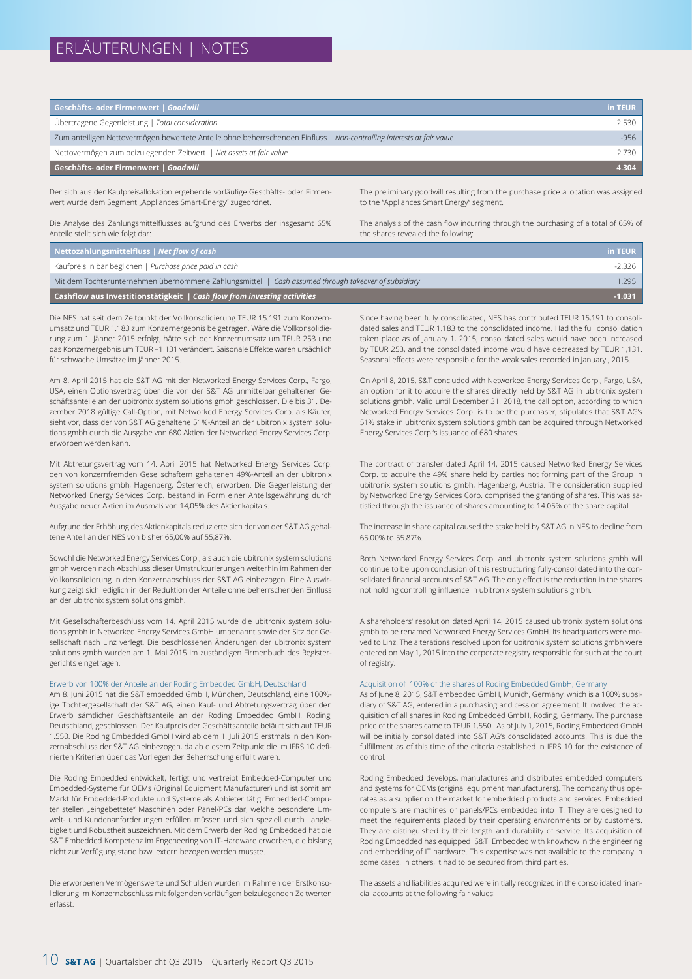## ERLÄUTERUNGEN | NOTES

| Geschäfts- oder Firmenwert   Goodwill                                                                                 | in TEUR |
|-----------------------------------------------------------------------------------------------------------------------|---------|
| Übertragene Gegenleistung   Total consideration                                                                       | 2.530   |
| Zum anteiligen Nettovermögen bewertete Anteile ohne beherrschenden Einfluss   Non-controlling interests at fair value | -956    |
| Nettovermögen zum beizulegenden Zeitwert   Net assets at fair value                                                   | 2.730   |
| Geschäfts- oder Firmenwert   Goodwill                                                                                 | 4.304   |

Der sich aus der Kaufpreisallokation ergebende vorläufige Geschäfts- oder Firmenwert wurde dem Segment "Appliances Smart-Energy" zugeordnet.

Die Analyse des Zahlungsmittelflusses aufgrund des Erwerbs der insgesamt 65% Anteile stellt sich wie folgt dar:

The preliminary goodwill resulting from the purchase price allocation was assigned to the "Appliances Smart Energy" segment.

The analysis of the cash flow incurring through the purchasing of a total of 65% of the shares revealed the following:

| Nettozahlungsmittelfluss $\vert$ Net flow of cash                                                   | in TEUR  |
|-----------------------------------------------------------------------------------------------------|----------|
| Kaufpreis in bar beglichen   Purchase price paid in cash                                            | -2.326   |
| Mit dem Tochterunternehmen übernommene Zahlungsmittel   Cash assumed through takeover of subsidiary | 1.295    |
| <b>Cashflow aus Investitionstätigkeit</b> $\sqrt{ }$ Cash flow from investing activities            | $-1.031$ |

Die NES hat seit dem Zeitpunkt der Vollkonsolidierung TEUR 15.191 zum Konzernumsatz und TEUR 1.183 zum Konzernergebnis beigetragen. Wäre die Vollkonsolidierung zum 1. Jänner 2015 erfolgt, hätte sich der Konzernumsatz um TEUR 253 und das Konzernergebnis um TEUR –1.131 verändert. Saisonale Effekte waren ursächlich für schwache Umsätze im Jänner 2015.

Am 8. April 2015 hat die S&T AG mit der Networked Energy Services Corp., Fargo, USA, einen Optionsvertrag über die von der S&T AG unmittelbar gehaltenen Geschäftsanteile an der ubitronix system solutions gmbh geschlossen. Die bis 31. Dezember 2018 gültige Call-Option, mit Networked Energy Services Corp. als Käufer, sieht vor, dass der von S&T AG gehaltene 51%-Anteil an der ubitronix system solutions gmbh durch die Ausgabe von 680 Aktien der Networked Energy Services Corp. erworben werden kann.

Mit Abtretungsvertrag vom 14. April 2015 hat Networked Energy Services Corp. den von konzernfremden Gesellschaftern gehaltenen 49%-Anteil an der ubitronix system solutions gmbh, Hagenberg, Österreich, erworben. Die Gegenleistung der Networked Energy Services Corp. bestand in Form einer Anteilsgewährung durch Ausgabe neuer Aktien im Ausmaß von 14,05% des Aktienkapitals.

Aufgrund der Erhöhung des Aktienkapitals reduzierte sich der von der S&T AG gehaltene Anteil an der NES von bisher 65,00% auf 55,87%.

Sowohl die Networked Energy Services Corp., als auch die ubitronix system solutions gmbh werden nach Abschluss dieser Umstrukturierungen weiterhin im Rahmen der Vollkonsolidierung in den Konzernabschluss der S&T AG einbezogen. Eine Auswirkung zeigt sich lediglich in der Reduktion der Anteile ohne beherrschenden Einfluss an der ubitronix system solutions gmbh.

Mit Gesellschafterbeschluss vom 14. April 2015 wurde die ubitronix system solutions gmbh in Networked Energy Services GmbH umbenannt sowie der Sitz der Gesellschaft nach Linz verlegt. Die beschlossenen Änderungen der ubitronix system solutions gmbh wurden am 1. Mai 2015 im zuständigen Firmenbuch des Registergerichts eingetragen.

#### Erwerb von 100% der Anteile an der Roding Embedded GmbH, Deutschland

Am 8. Juni 2015 hat die S&T embedded GmbH, München, Deutschland, eine 100% ige Tochtergesellschaft der S&T AG, einen Kauf- und Abtretungsvertrag über den Erwerb sämtlicher Geschäftsanteile an der Roding Embedded GmbH, Roding, Deutschland, geschlossen. Der Kaufpreis der Geschäftsanteile beläuft sich auf TEUR 1.550. Die Roding Embedded GmbH wird ab dem 1. Juli 2015 erstmals in den Konzernabschluss der S&T AG einbezogen, da ab diesem Zeitpunkt die im IFRS 10 definierten Kriterien über das Vorliegen der Beherrschung erfüllt waren.

Die Roding Embedded entwickelt, fertigt und vertreibt Embedded-Computer und Embedded-Systeme für OEMs (Original Equipment Manufacturer) und ist somit am Markt für Embedded-Produkte und Systeme als Anbieter tätig. Embedded-Computer stellen "eingebettete" Maschinen oder Panel/PCs dar, welche besondere Umwelt- und Kundenanforderungen erfüllen müssen und sich speziell durch Langlebigkeit und Robustheit auszeichnen. Mit dem Erwerb der Roding Embedded hat die S&T Embedded Kompetenz im Engeneering von IT-Hardware erworben, die bislang nicht zur Verfügung stand bzw. extern bezogen werden musste.

Die erworbenen Vermögenswerte und Schulden wurden im Rahmen der Erstkonsolidierung im Konzernabschluss mit folgenden vorläufigen beizulegenden Zeitwerten erfasst:

Since having been fully consolidated, NES has contributed TEUR 15,191 to consolidated sales and TEUR 1.183 to the consolidated income. Had the full consolidation taken place as of January 1, 2015, consolidated sales would have been increased by TEUR 253, and the consolidated income would have decreased by TEUR 1,131. Seasonal effects were responsible for the weak sales recorded in January , 2015.

On April 8, 2015, S&T concluded with Networked Energy Services Corp., Fargo, USA, an option for it to acquire the shares directly held by S&T AG in ubitronix system solutions gmbh. Valid until December 31, 2018, the call option, according to which Networked Energy Services Corp. is to be the purchaser, stipulates that S&T AG's 51% stake in ubitronix system solutions gmbh can be acquired through Networked Energy Services Corp.'s issuance of 680 shares.

The contract of transfer dated April 14, 2015 caused Networked Energy Services Corp. to acquire the 49% share held by parties not forming part of the Group in ubitronix system solutions gmbh, Hagenberg, Austria. The consideration supplied by Networked Energy Services Corp. comprised the granting of shares. This was satisfied through the issuance of shares amounting to 14.05% of the share capital.

The increase in share capital caused the stake held by S&T AG in NES to decline from 65.00% to 55.87%.

Both Networked Energy Services Corp. and ubitronix system solutions gmbh will continue to be upon conclusion of this restructuring fully-consolidated into the consolidated financial accounts of S&T AG. The only effect is the reduction in the shares not holding controlling influence in ubitronix system solutions gmbh.

A shareholders' resolution dated April 14, 2015 caused ubitronix system solutions gmbh to be renamed Networked Energy Services GmbH. Its headquarters were moved to Linz. The alterations resolved upon for ubitronix system solutions gmbh were entered on May 1, 2015 into the corporate registry responsible for such at the court of registry.

#### Acquisition of 100% of the shares of Roding Embedded GmbH, Germany

As of June 8, 2015, S&T embedded GmbH, Munich, Germany, which is a 100% subsidiary of S&T AG, entered in a purchasing and cession agreement. It involved the acquisition of all shares in Roding Embedded GmbH, Roding, Germany. The purchase price of the shares came to TEUR 1,550. As of July 1, 2015, Roding Embedded GmbH will be initially consolidated into S&T AG's consolidated accounts. This is due the fulfillment as of this time of the criteria established in IFRS 10 for the existence of control.

Roding Embedded develops, manufactures and distributes embedded computers and systems for OEMs (original equipment manufacturers). The company thus operates as a supplier on the market for embedded products and services. Embedded computers are machines or panels/PCs embedded into IT. They are designed to meet the requirements placed by their operating environments or by customers. They are distinguished by their length and durability of service. Its acquisition of Roding Embedded has equipped S&T Embedded with knowhow in the engineering and embedding of IT hardware. This expertise was not available to the company in some cases. In others, it had to be secured from third parties.

The assets and liabilities acquired were initially recognized in the consolidated financial accounts at the following fair values: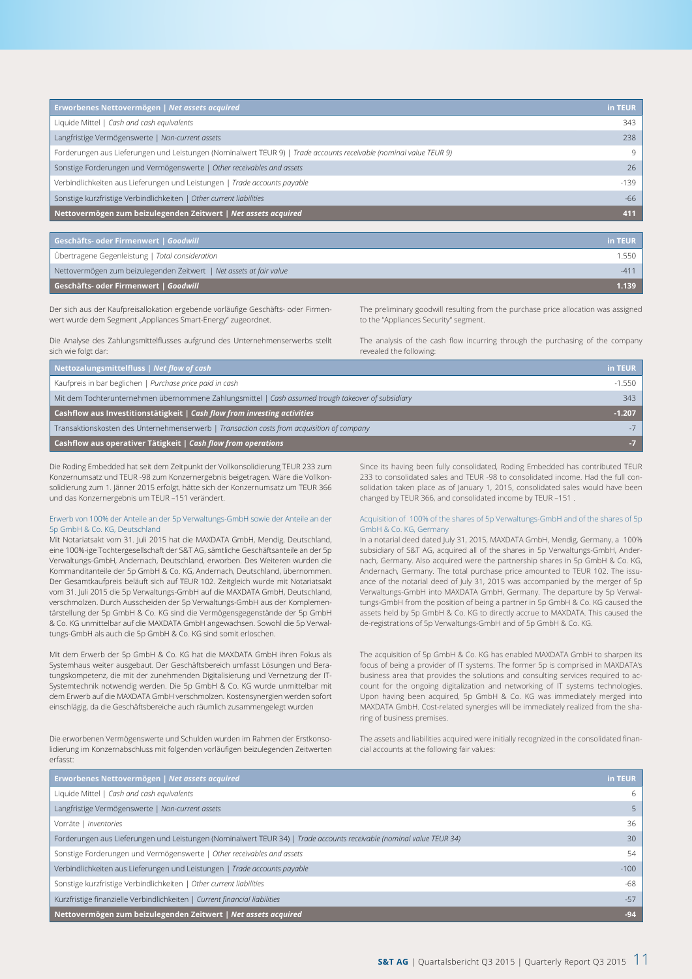| Erworbenes Nettovermögen   Net assets acquired                                                                     | in TEUR |
|--------------------------------------------------------------------------------------------------------------------|---------|
| Liquide Mittel   Cash and cash equivalents                                                                         | 343     |
| Langfristige Vermögenswerte   Non-current assets                                                                   | 238     |
| Forderungen aus Lieferungen und Leistungen (Nominalwert TEUR 9)   Trade accounts receivable (nominal value TEUR 9) | 9       |
| Sonstige Forderungen und Vermögenswerte   Other receivables and assets                                             | 26      |
| Verbindlichkeiten aus Lieferungen und Leistungen   Trade accounts payable                                          | $-139$  |
| Sonstige kurzfristige Verbindlichkeiten   Other current liabilities                                                | $-66$   |
| Nettovermögen zum beizulegenden Zeitwert   Net assets acquired                                                     | 411     |

| Geschäfts- oder Firmenwert   Goodwill                               | in TEUR |
|---------------------------------------------------------------------|---------|
| Übertragene Gegenleistung   Total consideration                     | 1.550   |
| Nettovermögen zum beizulegenden Zeitwert   Net assets at fair value | $-411$  |
| Geschäfts- oder Firmenwert   Goodwill                               | 1.139   |

Der sich aus der Kaufpreisallokation ergebende vorläufige Geschäfts- oder Firmenwert wurde dem Segment "Appliances Smart-Energy" zugeordnet.

The preliminary goodwill resulting from the purchase price allocation was assigned to the "Appliances Security" segment.

Die Analyse des Zahlungsmittelflusses aufgrund des Unternehmenserwerbs stellt sich wie folgt dar:

The analysis of the cash flow incurring through the purchasing of the company revealed the following:

| Nettozalungsmittelfluss   Net flow of cash                                                         | in TEUR  |
|----------------------------------------------------------------------------------------------------|----------|
| Kaufpreis in bar beglichen   Purchase price paid in cash                                           | $-1.550$ |
| Mit dem Tochterunternehmen übernommene Zahlungsmittel   Cash assumed trough takeover of subsidiary | 343      |
| <b>Cashflow aus Investitionstätigkeit</b> $ $ Cash flow from investing activities                  | $-1.207$ |
| Transaktionskosten des Unternehmenserwerb   Transaction costs from acquisition of company          |          |
| Cashflow aus operativer Tätigkeit   Cash flow from operations                                      | -7       |

Die Roding Embedded hat seit dem Zeitpunkt der Vollkonsolidierung TEUR 233 zum Konzernumsatz und TEUR -98 zum Konzernergebnis beigetragen. Wäre die Vollkonsolidierung zum 1. Jänner 2015 erfolgt, hätte sich der Konzernumsatz um TEUR 366 und das Konzernergebnis um TEUR –151 verändert.

#### Erwerb von 100% der Anteile an der 5p Verwaltungs-GmbH sowie der Anteile an der 5p GmbH & Co. KG, Deutschland

Mit Notariatsakt vom 31. Juli 2015 hat die MAXDATA GmbH, Mendig, Deutschland, eine 100%-ige Tochtergesellschaft der S&T AG, sämtliche Geschäftsanteile an der 5p Verwaltungs-GmbH, Andernach, Deutschland, erworben. Des Weiteren wurden die Kommanditanteile der 5p GmbH & Co. KG, Andernach, Deutschland, übernommen. Der Gesamtkaufpreis beläuft sich auf TEUR 102. Zeitgleich wurde mit Notariatsakt vom 31. Juli 2015 die 5p Verwaltungs-GmbH auf die MAXDATA GmbH, Deutschland, verschmolzen. Durch Ausscheiden der 5p Verwaltungs-GmbH aus der Komplementärstellung der 5p GmbH & Co. KG sind die Vermögensgegenstände der 5p GmbH & Co. KG unmittelbar auf die MAXDATA GmbH angewachsen. Sowohl die 5p Verwaltungs-GmbH als auch die 5p GmbH & Co. KG sind somit erloschen.

Mit dem Erwerb der 5p GmbH & Co. KG hat die MAXDATA GmbH ihren Fokus als Systemhaus weiter ausgebaut. Der Geschäftsbereich umfasst Lösungen und Beratungskompetenz, die mit der zunehmenden Digitalisierung und Vernetzung der IT-Systemtechnik notwendig werden. Die 5p GmbH & Co. KG wurde unmittelbar mit dem Erwerb auf die MAXDATA GmbH verschmolzen. Kostensynergien werden sofort einschlägig, da die Geschäftsbereiche auch räumlich zusammengelegt wurden

Die erworbenen Vermögenswerte und Schulden wurden im Rahmen der Erstkonsolidierung im Konzernabschluss mit folgenden vorläufigen beizulegenden Zeitwerten erfasst:

Since its having been fully consolidated, Roding Embedded has contributed TEUR 233 to consolidated sales and TEUR -98 to consolidated income. Had the full consolidation taken place as of January 1, 2015, consolidated sales would have been changed by TEUR 366, and consolidated income by TEUR –151 .

#### Acquisition of 100% of the shares of 5p Verwaltungs-GmbH and of the shares of 5p GmbH & Co. KG, Germany

In a notarial deed dated July 31, 2015, MAXDATA GmbH, Mendig, Germany, a 100% subsidiary of S&T AG, acquired all of the shares in 5p Verwaltungs-GmbH, Andernach, Germany. Also acquired were the partnership shares in 5p GmbH & Co. KG, Andernach, Germany. The total purchase price amounted to TEUR 102. The issuance of the notarial deed of July 31, 2015 was accompanied by the merger of 5p Verwaltungs-GmbH into MAXDATA GmbH, Germany. The departure by 5p Verwaltungs-GmbH from the position of being a partner in 5p GmbH & Co. KG caused the assets held by 5p GmbH & Co. KG to directly accrue to MAXDATA. This caused the de-registrations of 5p Verwaltungs-GmbH and of 5p GmbH & Co. KG.

The acquisition of 5p GmbH & Co. KG has enabled MAXDATA GmbH to sharpen its focus of being a provider of IT systems. The former 5p is comprised in MAXDATA's business area that provides the solutions and consulting services required to account for the ongoing digitalization and networking of IT systems technologies. Upon having been acquired, 5p GmbH & Co. KG was immediately merged into MAXDATA GmbH. Cost-related synergies will be immediately realized from the sharing of business premises.

The assets and liabilities acquired were initially recognized in the consolidated financial accounts at the following fair values:

| Erworbenes Nettovermögen   Net assets acquired                                                                       | in TEUR         |
|----------------------------------------------------------------------------------------------------------------------|-----------------|
| Liquide Mittel   Cash and cash equivalents                                                                           | 6               |
| Langfristige Vermögenswerte   Non-current assets                                                                     | 5.              |
| Vorräte   Inventories                                                                                                | 36              |
| Forderungen aus Lieferungen und Leistungen (Nominalwert TEUR 34)   Trade accounts receivable (nominal value TEUR 34) | 30 <sup>°</sup> |
| Sonstige Forderungen und Vermögenswerte   Other receivables and assets                                               | 54              |
| Verbindlichkeiten aus Lieferungen und Leistungen   Trade accounts payable                                            | $-100$          |
| Sonstige kurzfristige Verbindlichkeiten   Other current liabilities                                                  | $-68$           |
| Kurzfristige finanzielle Verbindlichkeiten   Current financial liabilities                                           | $-57$           |
| Nettovermögen zum beizulegenden Zeitwert   Net assets acquired                                                       | $-94$           |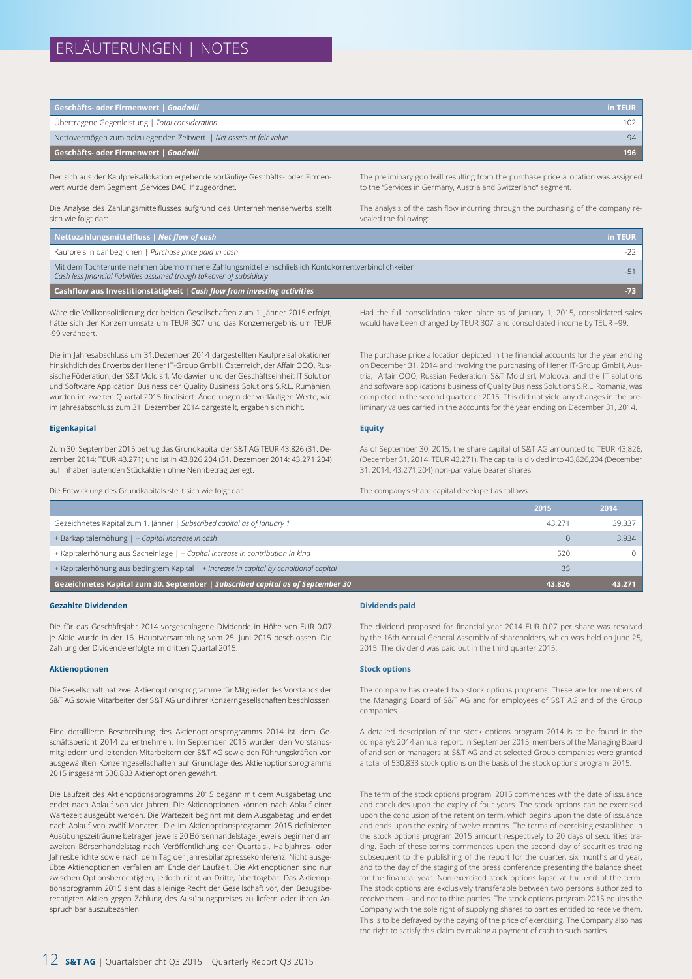## ERLÄUTERUNGEN | NOTES

| Geschäfts- oder Firmenwert   Goodwill                               | in TEUR |
|---------------------------------------------------------------------|---------|
| Übertragene Gegenleistung   Total consideration                     | 102     |
| Nettovermögen zum beizulegenden Zeitwert   Net assets at fair value | 94      |
| Geschäfts- oder Firmenwert   Goodwill                               | 196     |

Der sich aus der Kaufpreisallokation ergebende vorläufige Geschäfts- oder Firmenwert wurde dem Segment "Services DACH" zugeordnet.

Die Analyse des Zahlungsmittelflusses aufgrund des Unternehmenserwerbs stellt sich wie folgt dar:

The preliminary goodwill resulting from the purchase price allocation was assigned to the "Services in Germany, Austria and Switzerland" segment.

The analysis of the cash flow incurring through the purchasing of the company revealed the following:

| Nettozahlungsmittelfluss   Net flow of cash                                                                                                                                 | in TEUR |
|-----------------------------------------------------------------------------------------------------------------------------------------------------------------------------|---------|
| Kaufpreis in bar beglichen   Purchase price paid in cash                                                                                                                    | -22     |
| Mit dem Tochterunternehmen übernommene Zahlungsmittel einschließlich Kontokorrentverbindlichkeiten<br>Cash less financial liabilities assumed trough takeover of subsidiary | -51     |
| Cashflow aus Investitionstätigkeit   Cash flow from investing activities                                                                                                    | $-73$   |

Wäre die Vollkonsolidierung der beiden Gesellschaften zum 1. Jänner 2015 erfolgt, hätte sich der Konzernumsatz um TEUR 307 und das Konzernergebnis um TEUR -99 verändert.

Die im Jahresabschluss um 31.Dezember 2014 dargestellten Kaufpreisallokationen hinsichtlich des Erwerbs der Hener IT-Group GmbH, Österreich, der Affair OOO, Russische Föderation, der S&T Mold srl, Moldawien und der Geschäftseinheit IT Solution und Software Application Business der Quality Business Solutions S.R.L. Rumänien, wurden im zweiten Quartal 2015 finalisiert. Änderungen der vorläufigen Werte, wie im Jahresabschluss zum 31. Dezember 2014 dargestellt, ergaben sich nicht.

#### **Eigenkapital**

Zum 30. September 2015 betrug das Grundkapital der S&T AG TEUR 43.826 (31. Dezember 2014: TEUR 43.271) und ist in 43.826.204 (31. Dezember 2014: 43.271.204) auf Inhaber lautenden Stückaktien ohne Nennbetrag zerlegt.

Die Entwicklung des Grundkapitals stellt sich wie folgt dar:

Had the full consolidation taken place as of January 1, 2015, consolidated sales would have been changed by TEUR 307, and consolidated income by TEUR –99.

The purchase price allocation depicted in the financial accounts for the year ending on December 31, 2014 and involving the purchasing of Hener IT-Group GmbH, Austria, Affair OOO, Russian Federation, S&T Mold srl, Moldova, and the IT solutions and software applications business of Quality Business Solutions S.R.L. Romania, was completed in the second quarter of 2015. This did not yield any changes in the preliminary values carried in the accounts for the year ending on December 31, 2014.

#### **Equity**

As of September 30, 2015, the share capital of S&T AG amounted to TEUR 43,826, (December 31, 2014: TEUR 43,271). The capital is divided into 43,826,204 (December 31, 2014: 43,271,204) non-par value bearer shares.

The company's share capital developed as follows:

|                                                                                        | 2015   | 2014   |
|----------------------------------------------------------------------------------------|--------|--------|
| Gezeichnetes Kapital zum 1. Jänner   Subscribed capital as of January 1                | 43.271 | 39.337 |
| + Barkapitalerhöhung   + Capital increase in cash                                      |        | 3.934  |
| + Kapitalerhöhung aus Sacheinlage   + Capital increase in contribution in kind         | 520    |        |
| + Kapitalerhöhung aus bedingtem Kapital   + Increase in capital by conditional capital | 35     |        |
| Gezeichnetes Kapital zum 30. September   Subscribed capital as of September 30         | 43.826 | 43.271 |

#### **Gezahlte Dividenden**

Die für das Geschäftsjahr 2014 vorgeschlagene Dividende in Höhe von EUR 0,07 je Aktie wurde in der 16. Hauptversammlung vom 25. Juni 2015 beschlossen. Die Zahlung der Dividende erfolgte im dritten Quartal 2015.

#### **Aktienoptionen**

Die Gesellschaft hat zwei Aktienoptionsprogramme für Mitglieder des Vorstands der S&T AG sowie Mitarbeiter der S&T AG und ihrer Konzerngesellschaften beschlossen.

Eine detaillierte Beschreibung des Aktienoptionsprogramms 2014 ist dem Geschäftsbericht 2014 zu entnehmen. Im September 2015 wurden den Vorstandsmitgliedern und leitenden Mitarbeitern der S&T AG sowie den Führungskräften von ausgewählten Konzerngesellschaften auf Grundlage des Aktienoptionsprogramms 2015 insgesamt 530.833 Aktienoptionen gewährt.

Die Laufzeit des Aktienoptionsprogramms 2015 begann mit dem Ausgabetag und endet nach Ablauf von vier Jahren. Die Aktienoptionen können nach Ablauf einer Wartezeit ausgeübt werden. Die Wartezeit beginnt mit dem Ausgabetag und endet nach Ablauf von zwölf Monaten. Die im Aktienoptionsprogramm 2015 definierten Ausübungszeiträume betragen jeweils 20 Börsenhandelstage, jeweils beginnend am zweiten Börsenhandelstag nach Veröffentlichung der Quartals-, Halbjahres- oder Jahresberichte sowie nach dem Tag der Jahresbilanzpressekonferenz. Nicht ausgeübte Aktienoptionen verfallen am Ende der Laufzeit. Die Aktienoptionen sind nur zwischen Optionsberechtigten, jedoch nicht an Dritte, übertragbar. Das Aktienoptionsprogramm 2015 sieht das alleinige Recht der Gesellschaft vor, den Bezugsberechtigten Aktien gegen Zahlung des Ausübungspreises zu liefern oder ihren Anspruch bar auszubezahlen.

#### **Dividends paid**

The dividend proposed for financial year 2014 EUR 0.07 per share was resolved by the 16th Annual General Assembly of shareholders, which was held on June 25, 2015. The dividend was paid out in the third quarter 2015.

#### **Stock options**

The company has created two stock options programs. These are for members of the Managing Board of S&T AG and for employees of S&T AG and of the Group companies.

A detailed description of the stock options program 2014 is to be found in the company's 2014 annual report. In September 2015, members of the Managing Board of and senior managers at S&T AG and at selected Group companies were granted a total of 530,833 stock options on the basis of the stock options program 2015.

The term of the stock options program 2015 commences with the date of issuance and concludes upon the expiry of four years. The stock options can be exercised upon the conclusion of the retention term, which begins upon the date of issuance and ends upon the expiry of twelve months. The terms of exercising established in the stock options program 2015 amount respectively to 20 days of securities trading. Each of these terms commences upon the second day of securities trading subsequent to the publishing of the report for the quarter, six months and year, and to the day of the staging of the press conference presenting the balance sheet for the financial year. Non-exercised stock options lapse at the end of the term. The stock options are exclusively transferable between two persons authorized to receive them – and not to third parties. The stock options program 2015 equips the Company with the sole right of supplying shares to parties entitled to receive them. This is to be defrayed by the paying of the price of exercising. The Company also has the right to satisfy this claim by making a payment of cash to such parties.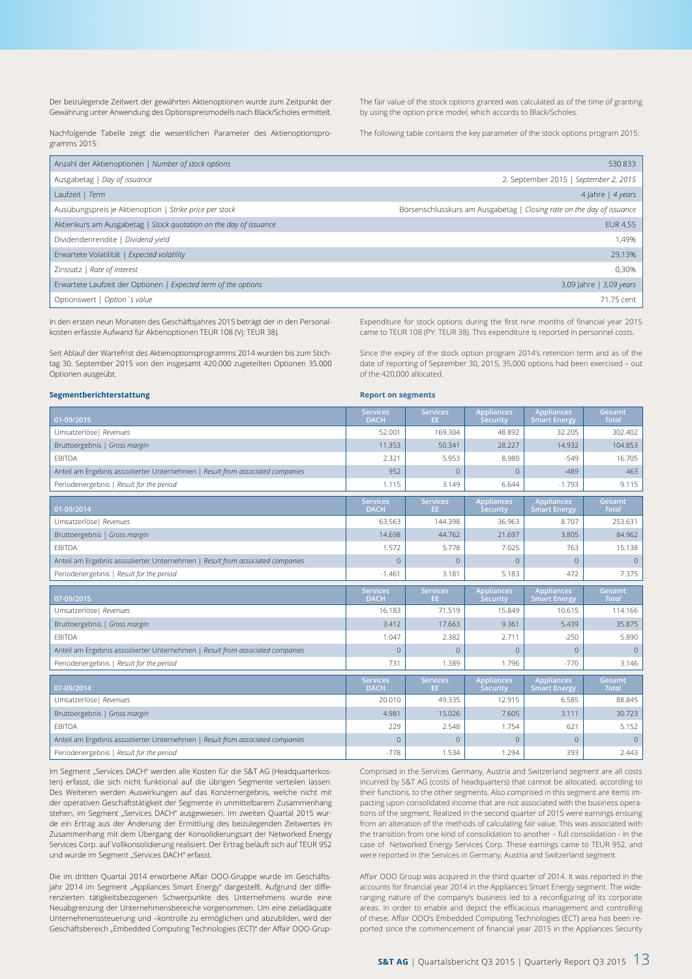Der beizulegende Zeitwert der gewährten Aktienoptionen wurde zum Zeitpunkt der Gewährung unter Anwendung des Optionspreismodells nach Black/Scholes ermittelt.

The fair value of the stock options granted was calculated as of the time of granting by using the option price model, which accords to Black/Scholes.

Nachfolgende Tabelle zeigt die wesentlichen Parameter des Aktienoptionsprogramms 2015:

The following table contains the key parameter of the stock options program 2015:

| Anzahl der Aktienoptionen   Number of stock options               | 530.833                                                               |
|-------------------------------------------------------------------|-----------------------------------------------------------------------|
| Ausgabetag   Day of issuance                                      | 2. September 2015   September 2, 2015                                 |
| Laufzeit   Term                                                   | 4 Jahre   $4$ years                                                   |
| Ausübungspreis je Aktienoption   Strike price per stock           | Börsenschlusskurs am Ausgabetag   Closing rate on the day of issuance |
| Aktienkurs am Ausgabetag   Stock quotation on the day of issuance | <b>EUR 4,55</b>                                                       |
| Dividendenrendite   Dividend yield                                | 1.49%                                                                 |
| Erwartete Volatilität   Expected volatility                       | 29,13%                                                                |
| Zinssatz   Rate of interest                                       | 0,30%                                                                 |
| Erwartete Laufzeit der Optionen   Expected term of the options    | 3,09 Jahre   3,09 years                                               |
| Optionswert   Option 's value                                     | 71.75 cent                                                            |

In den ersten neun Monaten des Geschäftsjahres 2015 beträgt der in den Personalkosten erfasste Aufwand für Aktienoptionen TEUR 108 (Vj: TEUR 38).

Seit Ablauf der Wartefrist des Aktienoptionsprogramms 2014 wurden bis zum Stichtag 30. September 2015 von den insgesamt 420.000 zugeteilten Optionen 35.000 Optionen ausgeübt.

Expenditure for stock options during the first nine months of financial year 2015 came to TEUR 108 (PY: TEUR 38). This expenditure is reported in personnel costs.

Since the expiry of the stock option program 2014's retention term and as of the date of reporting of September 30, 2015, 35,000 options had been exercised – out of the 420,000 allocated.

#### **Segmentberichterstattung**

#### **Report on segments**

| 01-09/2015                                                                     | <b>Services</b><br><b>DACH</b> | <b>Services</b><br>EE. | <b>Appliances</b><br>Security | <b>Appliances</b><br><b>Smart Energy</b> | Gesamt<br><b>Total</b> |
|--------------------------------------------------------------------------------|--------------------------------|------------------------|-------------------------------|------------------------------------------|------------------------|
| Umsatzerlöse   Revenues                                                        | 52.001                         | 169.304                | 48.892                        | 32.205                                   | 302.402                |
| Bruttoergebnis   Gross margin                                                  | 11.353                         | 50.341                 | 28.227                        | 14.932                                   | 104.853                |
| <b>EBITDA</b>                                                                  | 2.321                          | 5.953                  | 8.980                         | $-549$                                   | 16.705                 |
| Anteil am Ergebnis assoziierter Unternehmen   Result from associated companies | 952                            | $\Omega$               | $\Omega$                      | $-489$                                   | 463                    |
| Periodenergebnis   Result for the period                                       | 1.115                          | 3.149                  | 6.644                         | $-1.793$                                 | 9.115                  |
| 01-09/2014                                                                     | <b>Services</b><br><b>DACH</b> | <b>Services</b><br>EE. | <b>Appliances</b><br>Security | <b>Appliances</b><br><b>Smart Energy</b> | Gesamt<br><b>Total</b> |
| Umsatzerlöse   Revenues                                                        | 63.563                         | 144.398                | 36.963                        | 8.707                                    | 253.631                |
| Bruttoergebnis   Gross margin                                                  | 14.698                         | 44.762                 | 21.697                        | 3.805                                    | 84.962                 |
| <b>EBITDA</b>                                                                  | 1.572                          | 5.778                  | 7.025                         | 763                                      | 15.138                 |
| Anteil am Ergebnis assoziierter Unternehmen   Result from associated companies | $\overline{0}$                 | $\overline{0}$         | $\overline{0}$                | $\mathbf{0}$                             | $\mathbf{0}$           |
| Periodenergebnis   Result for the period                                       | $-1.461$                       | 3.181                  | 5.183                         | 472                                      | 7.375                  |
|                                                                                |                                |                        |                               |                                          |                        |
| 07-09/2015                                                                     | <b>Services</b><br><b>DACH</b> | <b>Services</b><br>EE. | <b>Appliances</b><br>Security | <b>Appliances</b><br><b>Smart Energy</b> | Gesamt<br><b>Total</b> |
| Umsatzerlöse   Revenues                                                        | 16.183                         | 71.519                 | 15.849                        | 10.615                                   | 114.166                |
| Bruttoergebnis   Gross margin                                                  | 3.412                          | 17.663                 | 9.361                         | 5.439                                    | 35.875                 |
| <b>EBITDA</b>                                                                  | 1.047                          | 2.382                  | 2.711                         | $-250$                                   | 5.890                  |
| Anteil am Ergebnis assoziierter Unternehmen   Result from associated companies | $\Omega$                       | $\Omega$               | $\Omega$                      | $\Omega$                                 | $\Omega$               |
| Periodenergebnis   Result for the period                                       | 731                            | 1.389                  | 1.796                         | $-770$                                   | 3.146                  |
| 07-09/2014                                                                     | <b>Services</b><br><b>DACH</b> | <b>Services</b><br>EE. | <b>Appliances</b><br>Security | <b>Appliances</b><br><b>Smart Energy</b> | Gesamt<br><b>Total</b> |
| Umsatzerlöse   Revenues                                                        | 20.010                         | 49.335                 | 12.915                        | 6.585                                    | 88.845                 |
| Bruttoergebnis   Gross margin                                                  | 4.981                          | 15.026                 | 7.605                         | 3.111                                    | 30.723                 |
| <b>EBITDA</b>                                                                  | 229                            | 2.548                  | 1.754                         | 621                                      | 5.152                  |
| Anteil am Ergebnis assoziierter Unternehmen   Result from associated companies | $\overline{0}$                 | $\overline{0}$         | 0                             | $\mathbf{0}$                             | $\mathbf{0}$           |

Im Segment "Services DACH" werden alle Kosten für die S&T AG (Headquarterkosten) erfasst, die sich nicht funktional auf die übrigen Segmente verteilen lassen. Des Weiteren werden Auswirkungen auf das Konzernergebnis, welche nicht mit der operativen Geschäftstätigkeit der Segmente in unmittelbarem Zusammenhang stehen, im Segment "Services DACH" ausgewiesen. Im zweiten Quartal 2015 wurde ein Ertrag aus der Änderung der Ermittlung des beizulegenden Zeitwertes im Zusammenhang mit dem Übergang der Konsolidierungsart der Networked Energy Services Corp. auf Vollkonsolidierung realisiert. Der Ertrag beläuft sich auf TEUR 952 und wurde im Segment "Services DACH" erfasst.

Die im dritten Quartal 2014 erworbene Affair OOO-Gruppe wurde im Geschäftsjahr 2014 im Segment "Appliances Smart Energy" dargestellt. Aufgrund der differenzierten tätigkeitsbezogenen Schwerpunkte des Unternehmens wurde eine Neuabgrenzung der Unternehmensbereiche vorgenommen. Um eine zieladäquate Unternehmenssteuerung und –kontrolle zu ermöglichen und abzubilden, wird der Geschäftsbereich "Embedded Computing Technologies (ECT)" der Affair OOO-GrupComprised in the Services Germany, Austria and Switzerland segment are all costs incurred by S&T AG (costs of headquarters) that cannot be allocated, according to their functions, to the other segments. Also comprised in this segment are items impacting upon consolidated income that are not associated with the business operations of the segment. Realized in the second quarter of 2015 were earnings ensuing from an alteration of the methods of calculating fair value. This was associated with the transition from one kind of consolidation to another – full consolidation - in the case of Networked Energy Services Corp. These earnings came to TEUR 952, and were reported in the Services in Germany, Austria and Switzerland segment.

Affair OOO Group was acquired in the third quarter of 2014. It was reported in the accounts for financial year 2014 in the Appliances Smart Energy segment. The wideranging nature of the company's business led to a reconfiguring of its corporate areas. In order to enable and depict the efficacious management and controlling of these, Affair OOO's Embedded Computing Technologies (ECT) area has been reported since the commencement of financial year 2015 in the Appliances Security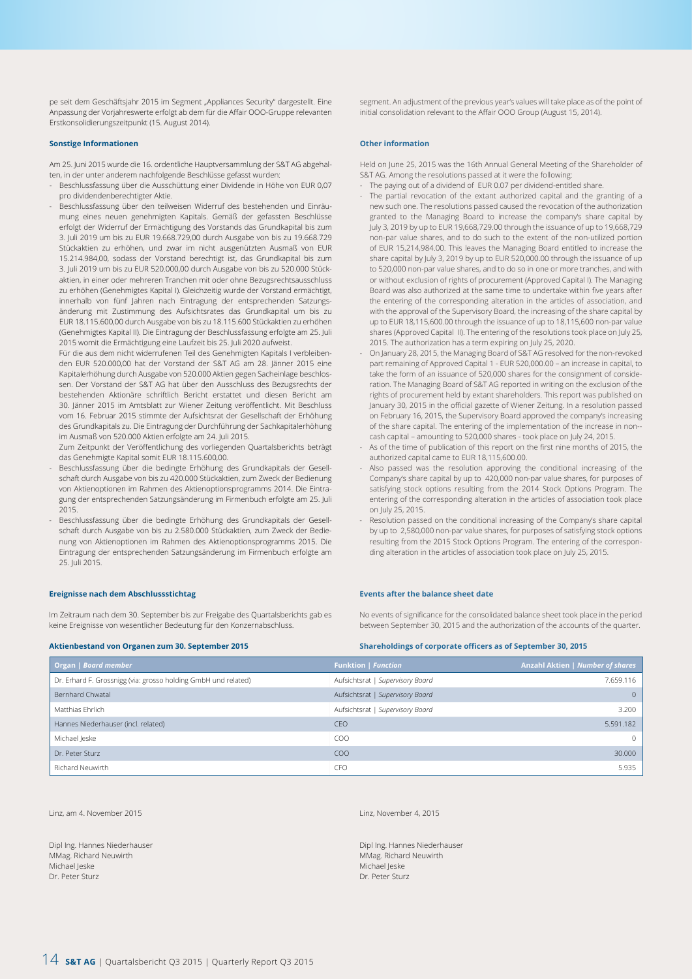pe seit dem Geschäftsjahr 2015 im Segment "Appliances Security" dargestellt. Eine Anpassung der Vorjahreswerte erfolgt ab dem für die Affair OOO-Gruppe relevanten Erstkonsolidierungszeitpunkt (15. August 2014).

#### **Sonstige Informationen**

Am 25. Juni 2015 wurde die 16. ordentliche Hauptversammlung der S&T AG abgehalten, in der unter anderem nachfolgende Beschlüsse gefasst wurden:

- Beschlussfassung über die Ausschüttung einer Dividende in Höhe von EUR 0,07 pro dividendenberechtigter Aktie.
- Beschlussfassung über den teilweisen Widerruf des bestehenden und Einräumung eines neuen genehmigten Kapitals. Gemäß der gefassten Beschlüsse erfolgt der Widerruf der Ermächtigung des Vorstands das Grundkapital bis zum 3. Juli 2019 um bis zu EUR 19.668.729,00 durch Ausgabe von bis zu 19.668.729 Stückaktien zu erhöhen, und zwar im nicht ausgenützten Ausmaß von EUR 15.214.984,00, sodass der Vorstand berechtigt ist, das Grundkapital bis zum 3. Juli 2019 um bis zu EUR 520.000,00 durch Ausgabe von bis zu 520.000 Stückaktien, in einer oder mehreren Tranchen mit oder ohne Bezugsrechtsausschluss zu erhöhen (Genehmigtes Kapital I). Gleichzeitig wurde der Vorstand ermächtigt, innerhalb von fünf Jahren nach Eintragung der entsprechenden Satzungsänderung mit Zustimmung des Aufsichtsrates das Grundkapital um bis zu EUR 18.115.600,00 durch Ausgabe von bis zu 18.115.600 Stückaktien zu erhöhen (Genehmigtes Kapital II). Die Eintragung der Beschlussfassung erfolgte am 25. Juli 2015 womit die Ermächtigung eine Laufzeit bis 25. Juli 2020 aufweist.

Für die aus dem nicht widerrufenen Teil des Genehmigten Kapitals I verbleibenden EUR 520.000,00 hat der Vorstand der S&T AG am 28. Jänner 2015 eine Kapitalerhöhung durch Ausgabe von 520.000 Aktien gegen Sacheinlage beschlossen. Der Vorstand der S&T AG hat über den Ausschluss des Bezugsrechts der bestehenden Aktionäre schriftlich Bericht erstattet und diesen Bericht am 30. Jänner 2015 im Amtsblatt zur Wiener Zeitung veröffentlicht. Mit Beschluss vom 16. Februar 2015 stimmte der Aufsichtsrat der Gesellschaft der Erhöhung des Grundkapitals zu. Die Eintragung der Durchführung der Sachkapitalerhöhung im Ausmaß von 520.000 Aktien erfolgte am 24. Juli 2015.

Zum Zeitpunkt der Veröffentlichung des vorliegenden Quartalsberichts beträgt das Genehmigte Kapital somit EUR 18.115.600,00.

- Beschlussfassung über die bedingte Erhöhung des Grundkapitals der Gesellschaft durch Ausgabe von bis zu 420.000 Stückaktien, zum Zweck der Bedienung von Aktienoptionen im Rahmen des Aktienoptionsprogramms 2014. Die Eintragung der entsprechenden Satzungsänderung im Firmenbuch erfolgte am 25. Juli 2015.
- Beschlussfassung über die bedingte Erhöhung des Grundkapitals der Gesellschaft durch Ausgabe von bis zu 2.580.000 Stückaktien, zum Zweck der Bedienung von Aktienoptionen im Rahmen des Aktienoptionsprogramms 2015. Die Eintragung der entsprechenden Satzungsänderung im Firmenbuch erfolgte am 25. Juli 2015.

segment. An adjustment of the previous year's values will take place as of the point of initial consolidation relevant to the Affair OOO Group (August 15, 2014).

#### **Other information**

Held on June 25, 2015 was the 16th Annual General Meeting of the Shareholder of S&T AG. Among the resolutions passed at it were the following:

- The paying out of a dividend of EUR 0.07 per dividend-entitled share.
- The partial revocation of the extant authorized capital and the granting of a new such one. The resolutions passed caused the revocation of the authorization granted to the Managing Board to increase the company's share capital by July 3, 2019 by up to EUR 19,668,729.00 through the issuance of up to 19,668,729 non-par value shares, and to do such to the extent of the non-utilized portion of EUR 15,214,984.00. This leaves the Managing Board entitled to increase the share capital by July 3, 2019 by up to EUR 520,000.00 through the issuance of up to 520,000 non-par value shares, and to do so in one or more tranches, and with or without exclusion of rights of procurement (Approved Capital I). The Managing Board was also authorized at the same time to undertake within five years after the entering of the corresponding alteration in the articles of association, and with the approval of the Supervisory Board, the increasing of the share capital by up to EUR 18,115,600.00 through the issuance of up to 18,115,600 non-par value shares (Approved Capital II). The entering of the resolutions took place on July 25, 2015. The authorization has a term expiring on July 25, 2020.
- On January 28, 2015, the Managing Board of S&T AG resolved for the non-revoked part remaining of Approved Capital 1 - EUR 520,000.00 – an increase in capital, to take the form of an issuance of 520,000 shares for the consignment of consideration. The Managing Board of S&T AG reported in writing on the exclusion of the rights of procurement held by extant shareholders. This report was published on January 30, 2015 in the official gazette of Wiener Zeitung. In a resolution passed on February 16, 2015, the Supervisory Board approved the company's increasing of the share capital. The entering of the implementation of the increase in non- cash capital – amounting to 520,000 shares - took place on July 24, 2015.
- As of the time of publication of this report on the first nine months of 2015, the authorized capital came to EUR 18,115,600.00.
- Also passed was the resolution approving the conditional increasing of the Company's share capital by up to 420,000 non-par value shares, for purposes of satisfying stock options resulting from the 2014 Stock Options Program. The entering of the corresponding alteration in the articles of association took place on July 25, 2015.
- Resolution passed on the conditional increasing of the Company's share capital by up to 2,580,000 non-par value shares, for purposes of satisfying stock options resulting from the 2015 Stock Options Program. The entering of the corresponding alteration in the articles of association took place on July 25, 2015.

No events of significance for the consolidated balance sheet took place in the period

#### **Ereignisse nach dem Abschlussstichtag**

Im Zeitraum nach dem 30. September bis zur Freigabe des Quartalsberichts gab es keine Ereignisse von wesentlicher Bedeutung für den Konzernabschluss.

#### **Aktienbestand von Organen zum 30. September 2015**

between September 30, 2015 and the authorization of the accounts of the quarter.

**Events after the balance sheet date**

#### **Shareholdings of corporate officers as of September 30, 2015**

| Organ   Board member                                           | <b>Funktion   Function</b>       | Anzahl Aktien   Number of shares |
|----------------------------------------------------------------|----------------------------------|----------------------------------|
| Dr. Erhard F. Grossnigg (via: grosso holding GmbH und related) | Aufsichtsrat   Supervisory Board | 7.659.116                        |
| Bernhard Chwatal                                               | Aufsichtsrat   Supervisory Board | $\Omega$                         |
| Matthias Ehrlich                                               | Aufsichtsrat   Supervisory Board | 3.200                            |
| Hannes Niederhauser (incl. related)                            | <b>CEO</b>                       | 5.591.182                        |
| Michael Jeske                                                  | COO                              | $\Omega$                         |
| Dr. Peter Sturz                                                | COO                              | 30,000                           |
| Richard Neuwirth                                               | CFC                              | 5.935                            |

Linz, am 4. November 2015

Dipl Ing. Hannes Niederhauser MMag. Richard Neuwirth Michael Jeske Dr. Peter Sturz

Linz, November 4, 2015

Dipl Ing. Hannes Niederhauser MMag. Richard Neuwirth Michael Jeske Dr. Peter Sturz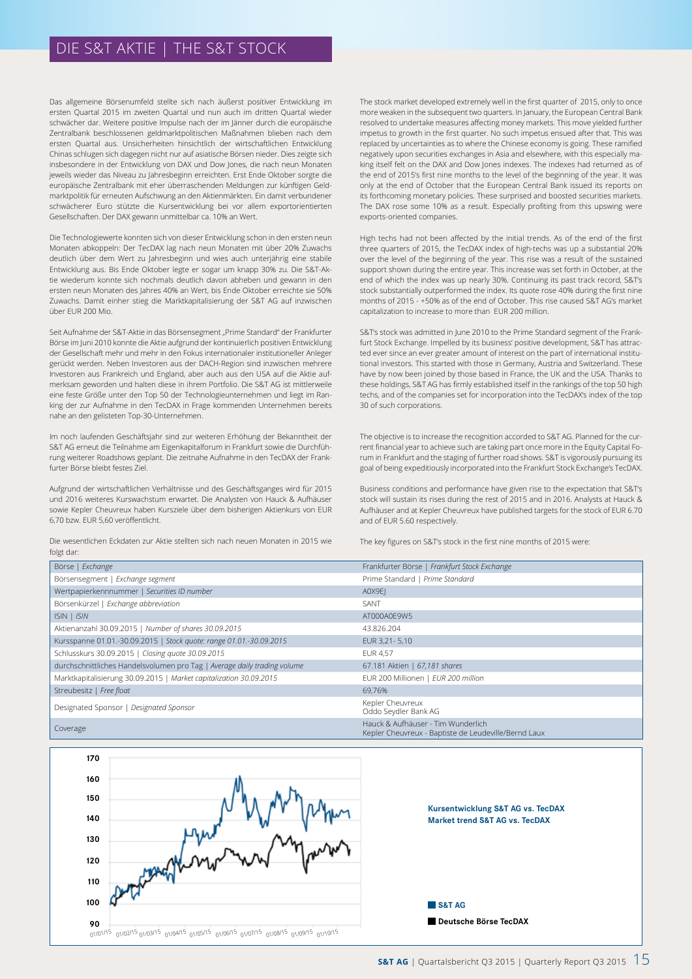## DIE S&T AKTIE | THE S&T STOCK

Das allgemeine Börsenumfeld stellte sich nach äußerst positiver Entwicklung im ersten Quartal 2015 im zweiten Quartal und nun auch im dritten Quartal wieder schwächer dar. Weitere positive Impulse nach der im Jänner durch die europäische Zentralbank beschlossenen geldmarktpolitischen Maßnahmen blieben nach dem ersten Quartal aus. Unsicherheiten hinsichtlich der wirtschaftlichen Entwicklung Chinas schlugen sich dagegen nicht nur auf asiatische Börsen nieder. Dies zeigte sich insbesondere in der Entwicklung von DAX und Dow Jones, die nach neun Monaten jeweils wieder das Niveau zu Jahresbeginn erreichten. Erst Ende Oktober sorgte die europäische Zentralbank mit eher überraschenden Meldungen zur künftigen Geldmarktpolitik für erneuten Aufschwung an den Aktienmärkten. Ein damit verbundener schwächerer Euro stützte die Kursentwicklung bei vor allem exportorientierten Gesellschaften. Der DAX gewann unmittelbar ca. 10% an Wert.

Die Technologiewerte konnten sich von dieser Entwicklung schon in den ersten neun Monaten abkoppeln: Der TecDAX lag nach neun Monaten mit über 20% Zuwachs deutlich über dem Wert zu Jahresbeginn und wies auch unterjährig eine stabile Entwicklung aus. Bis Ende Oktober legte er sogar um knapp 30% zu. Die S&T-Aktie wiederum konnte sich nochmals deutlich davon abheben und gewann in den ersten neun Monaten des Jahres 40% an Wert, bis Ende Oktober erreichte sie 50% Zuwachs. Damit einher stieg die Marktkapitalisierung der S&T AG auf inzwischen über EUR 200 Mio.

Seit Aufnahme der S&T-Aktie in das Börsensegment "Prime Standard" der Frankfurter Börse im Juni 2010 konnte die Aktie aufgrund der kontinuierlich positiven Entwicklung der Gesellschaft mehr und mehr in den Fokus internationaler institutioneller Anleger gerückt werden. Neben Investoren aus der DACH-Region sind inzwischen mehrere Investoren aus Frankreich und England, aber auch aus den USA auf die Aktie aufmerksam geworden und halten diese in ihrem Portfolio. Die S&T AG ist mittlerweile eine feste Größe unter den Top 50 der Technologieunternehmen und liegt im Ranking der zur Aufnahme in den TecDAX in Frage kommenden Unternehmen bereits nahe an den gelisteten Top-30-Unternehmen.

Im noch laufenden Geschäftsjahr sind zur weiteren Erhöhung der Bekanntheit der S&T AG erneut die Teilnahme am Eigenkapitalforum in Frankfurt sowie die Durchführung weiterer Roadshows geplant. Die zeitnahe Aufnahme in den TecDAX der Frankfurter Börse bleibt festes Ziel.

Aufgrund der wirtschaftlichen Verhältnisse und des Geschäftsganges wird für 2015 und 2016 weiteres Kurswachstum erwartet. Die Analysten von Hauck & Aufhäuser sowie Kepler Cheuvreux haben Kursziele über dem bisherigen Aktienkurs von EUR 6,70 bzw. EUR 5,60 veröffentlicht.

Die wesentlichen Eckdaten zur Aktie stellten sich nach neuen Monaten in 2015 wie folgt dar:

The stock market developed extremely well in the first quarter of 2015, only to once more weaken in the subsequent two quarters. In January, the European Central Bank resolved to undertake measures affecting money markets. This move yielded further impetus to growth in the first quarter. No such impetus ensued after that. This was replaced by uncertainties as to where the Chinese economy is going. These ramified negatively upon securities exchanges in Asia and elsewhere, with this especially making itself felt on the DAX and Dow Jones indexes. The indexes had returned as of the end of 2015's first nine months to the level of the beginning of the year. It was only at the end of October that the European Central Bank issued its reports on its forthcoming monetary policies. These surprised and boosted securities markets. The DAX rose some 10% as a result. Especially profiting from this upswing were exports-oriented companies.

High techs had not been affected by the initial trends. As of the end of the first three quarters of 2015, the TecDAX index of high-techs was up a substantial 20% over the level of the beginning of the year. This rise was a result of the sustained support shown during the entire year. This increase was set forth in October, at the end of which the index was up nearly 30%. Continuing its past track record, S&T's stock substantially outperformed the index. Its quote rose 40% during the first nine months of 2015 - +50% as of the end of October. This rise caused S&T AG's market capitalization to increase to more than EUR 200 million.

S&T's stock was admitted in June 2010 to the Prime Standard segment of the Frankfurt Stock Exchange. Impelled by its business' positive development, S&T has attracted ever since an ever greater amount of interest on the part of international institutional investors. This started with those in Germany, Austria and Switzerland. These have by now been joined by those based in France, the UK and the USA. Thanks to these holdings, S&T AG has firmly established itself in the rankings of the top 50 high techs, and of the companies set for incorporation into the TecDAX's index of the top 30 of such corporations.

The objective is to increase the recognition accorded to S&T AG. Planned for the current financial year to achieve such are taking part once more in the Equity Capital Forum in Frankfurt and the staging of further road shows. S&T is vigorously pursuing its goal of being expeditiously incorporated into the Frankfurt Stock Exchange's TecDAX.

Business conditions and performance have given rise to the expectation that S&T's stock will sustain its rises during the rest of 2015 and in 2016. Analysts at Hauck & Aufhäuser and at Kepler Cheuvreux have published targets for the stock of EUR 6.70 and of EUR 5.60 respectively.

The key figures on S&T's stock in the first nine months of 2015 were:

| Börse   Exchange                                                         | Frankfurter Börse   Frankfurt Stock Exchange                                               |
|--------------------------------------------------------------------------|--------------------------------------------------------------------------------------------|
| Börsensegment   Exchange segment                                         | Prime Standard   Prime Standard                                                            |
| Wertpapierkennnummer   Securities ID number                              | A0X9EI                                                                                     |
| Börsenkürzel   Exchange abbreviation                                     | SANT                                                                                       |
| ISIN   ISIN                                                              | AT000A0E9W5                                                                                |
| Aktienanzahl 30.09.2015   Number of shares 30.09.2015                    | 43.826.204                                                                                 |
| Kursspanne 01.01.-30.09.2015   Stock quote: range 01.01.-30.09.2015      | EUR 3,21 - 5,10                                                                            |
| Schlusskurs 30.09.2015   Closing quote 30.09.2015                        | <b>EUR 4.57</b>                                                                            |
| durchschnittliches Handelsvolumen pro Tag   Average daily trading volume | 67.181 Aktien   67,181 shares                                                              |
| Marktkapitalisierung 30.09.2015   Market capitalization 30.09.2015       | EUR 200 Millionen   EUR 200 million                                                        |
| Streubesitz   Free float                                                 | 69.76%                                                                                     |
| Designated Sponsor   Designated Sponsor                                  | Kepler Cheuvreux<br>Oddo Seydler Bank AG                                                   |
| Coverage                                                                 | Hauck & Aufhäuser - Tim Wunderlich<br>Kepler Cheuvreux - Baptiste de Leudeville/Bernd Laux |



**S&T AG** | Quartalsbericht Q3 2015 | Quarterly Report Q3 2015 15